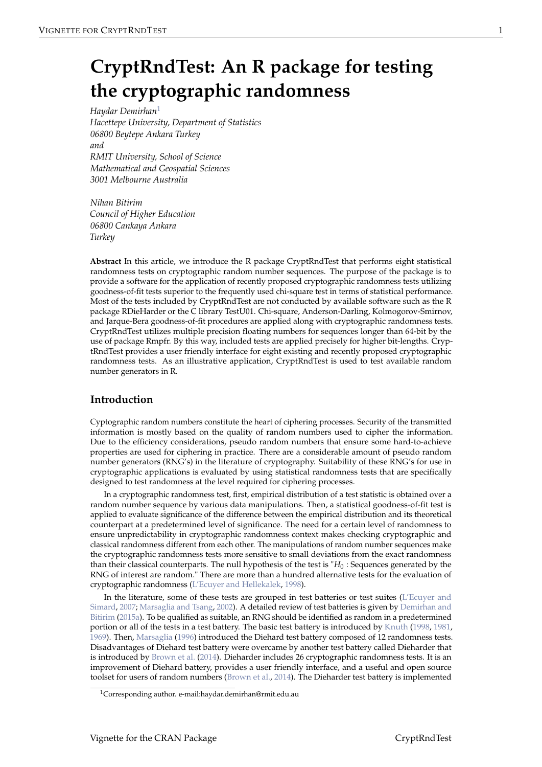# <span id="page-0-0"></span>**CryptRndTest: An R package for testing the cryptographic randomness**

*Haydar Demirhan*<sup>1</sup> *Hacettepe University, Department of Statistics 06800 Beytepe Ankara Turkey and RMIT University, School of Science Mathematical and Geospatial Sciences 3001 Melbourne Australia*

*Nihan Bitirim Council of Higher Education 06800 Cankaya Ankara Turkey*

**Abstract** In this article, we introduce the R package CryptRndTest that performs eight statistical randomness tests on cryptographic random number sequences. The purpose of the package is to provide a software for the application of recently proposed cryptographic randomness tests utilizing goodness-of-fit tests superior to the frequently used chi-square test in terms of statistical performance. Most of the tests included by CryptRndTest are not conducted by available software such as the R package RDieHarder or the C library TestU01. Chi-square, Anderson-Darling, Kolmogorov-Smirnov, and Jarque-Bera goodness-of-fit procedures are applied along with cryptographic randomness tests. CryptRndTest utilizes multiple precision floating numbers for sequences longer than 64-bit by the use of package Rmpfr. By this way, included tests are applied precisely for higher bit-lengths. CryptRndTest provides a user friendly interface for eight existing and recently proposed cryptographic randomness tests. As an illustrative application, CryptRndTest is used to test available random number generators in R.

# **Introduction**

Cyptographic random numbers constitute the heart of ciphering processes. Security of the transmitted information is mostly based on the quality of random numbers used to cipher the information. Due to the efficiency considerations, pseudo random numbers that ensure some hard-to-achieve properties are used for ciphering in practice. There are a considerable amount of pseudo random number generators (RNG's) in the literature of cryptography. Suitability of these RNG's for use in cryptographic applications is evaluated by using statistical randomness tests that are specifically designed to test randomness at the level required for ciphering processes.

In a cryptographic randomness test, first, empirical distribution of a test statistic is obtained over a random number sequence by various data manipulations. Then, a statistical goodness-of-fit test is applied to evaluate significance of the difference between the empirical distribution and its theoretical counterpart at a predetermined level of significance. The need for a certain level of randomness to ensure unpredictability in cryptographic randomness context makes checking cryptographic and classical randomness different from each other. The manipulations of random number sequences make the cryptographic randomness tests more sensitive to small deviations from the exact randomness than their classical counterparts. The null hypothesis of the test is "*H*<sup>0</sup> : Sequences generated by the RNG of interest are random." There are more than a hundred alternative tests for the evaluation of cryptographic randomness [\(L'Ecuyer and Hellekalek,](#page-15-0) [1998\)](#page-15-0).

In the literature, some of these tests are grouped in test batteries or test suites [\(L'Ecuyer and](#page-15-1) [Simard,](#page-15-1) [2007;](#page-15-1) [Marsaglia and Tsang,](#page-16-0) [2002\)](#page-16-0). A detailed review of test batteries is given by [Demirhan and](#page-15-2) [Bitirim](#page-15-2) [\(2015a\)](#page-15-2). To be qualified as suitable, an RNG should be identified as random in a predetermined portion or all of the tests in a test battery. The basic test battery is introduced by [Knuth](#page-15-3) [\(1998,](#page-15-3) [1981,](#page-15-4) [1969\)](#page-15-5). Then, [Marsaglia](#page-15-6) [\(1996\)](#page-15-6) introduced the Diehard test battery composed of 12 randomness tests. Disadvantages of Diehard test battery were overcame by another test battery called Dieharder that is introduced by [Brown et al.](#page-15-7) [\(2014\)](#page-15-7). Dieharder includes 26 cryptographic randomness tests. It is an improvement of Diehard battery, provides a user friendly interface, and a useful and open source toolset for users of random numbers [\(Brown et al.,](#page-15-7) [2014\)](#page-15-7). The Dieharder test battery is implemented

<sup>&</sup>lt;sup>1</sup>Corresponding author. e-mail:haydar.demirhan@rmit.edu.au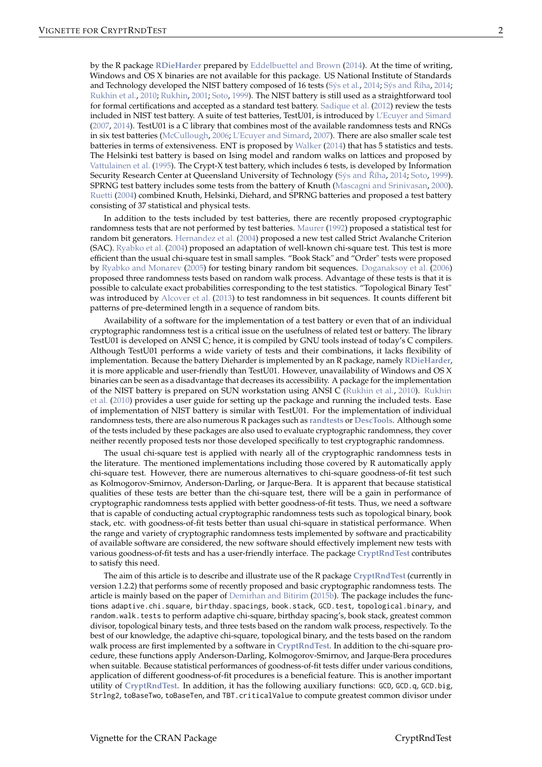<span id="page-1-0"></span>by the R package **[RDieHarder](http://CRAN.R-project.org/package=RDieHarder)** prepared by [Eddelbuettel and Brown](#page-15-8) [\(2014\)](#page-15-8). At the time of writing, Windows and OS X binaries are not available for this package. US National Institute of Standards and Technology developed the NIST battery composed of 16 tests [\(Sýs et al.,](#page-16-1) [2014;](#page-16-2) [Sýs and](#page-16-2) Říha, 2014; [Rukhin et al.,](#page-16-3) [2010;](#page-16-3) [Rukhin,](#page-16-4) [2001;](#page-16-4) [Soto,](#page-16-5) [1999\)](#page-16-5). The NIST battery is still used as a straightforward tool for formal certifications and accepted as a standard test battery. [Sadique et al.](#page-16-6) [\(2012\)](#page-16-6) review the tests included in NIST test battery. A suite of test batteries, TestU01, is introduced by [L'Ecuyer and Simard](#page-15-1) [\(2007,](#page-15-1) [2014\)](#page-15-9). TestU01 is a C library that combines most of the available randomness tests and RNGs in six test batteries [\(McCullough,](#page-16-7) [2006;](#page-16-7) [L'Ecuyer and Simard,](#page-15-1) [2007\)](#page-15-1). There are also smaller scale test batteries in terms of extensiveness. ENT is proposed by [Walker](#page-16-8) [\(2014\)](#page-16-8) that has 5 statistics and tests. The Helsinki test battery is based on Ising model and random walks on lattices and proposed by [Vattulainen et al.](#page-16-9) [\(1995\)](#page-16-9). The Crypt-X test battery, which includes 6 tests, is developed by Information Security Research Center at Queensland University of Technology [\(Sýs and](#page-16-2) Říha, [2014;](#page-16-2) [Soto,](#page-16-5) [1999\)](#page-16-5). SPRNG test battery includes some tests from the battery of Knuth [\(Mascagni and Srinivasan,](#page-16-10) [2000\)](#page-16-10). [Ruetti](#page-16-11) [\(2004\)](#page-16-11) combined Knuth, Helsinki, Diehard, and SPRNG batteries and proposed a test battery consisting of 37 statistical and physical tests.

In addition to the tests included by test batteries, there are recently proposed cryptographic randomness tests that are not performed by test batteries. [Maurer](#page-16-12) [\(1992\)](#page-16-12) proposed a statistical test for random bit generators. [Hernandez et al.](#page-15-10) [\(2004\)](#page-15-10) proposed a new test called Strict Avalanche Criterion (SAC). [Ryabko et al.](#page-16-13) [\(2004\)](#page-16-13) proposed an adaptation of well-known chi-square test. This test is more efficient than the usual chi-square test in small samples. "Book Stack" and "Order" tests were proposed by [Ryabko and Monarev](#page-16-14) [\(2005\)](#page-16-14) for testing binary random bit sequences. [Doganaksoy et al.](#page-15-11) [\(2006\)](#page-15-11) proposed three randomness tests based on random walk process. Advantage of these tests is that it is possible to calculate exact probabilities corresponding to the test statistics. "Topological Binary Test" was introduced by [Alcover et al.](#page-15-12) [\(2013\)](#page-15-12) to test randomness in bit sequences. It counts different bit patterns of pre-determined length in a sequence of random bits.

Availability of a software for the implementation of a test battery or even that of an individual cryptographic randomness test is a critical issue on the usefulness of related test or battery. The library TestU01 is developed on ANSI C; hence, it is compiled by GNU tools instead of today's C compilers. Although TestU01 performs a wide variety of tests and their combinations, it lacks flexibility of implementation. Because the battery Dieharder is implemented by an R package, namely **[RDieHarder](http://CRAN.R-project.org/package=RDieHarder)**, it is more applicable and user-friendly than TestU01. However, unavailability of Windows and OS X binaries can be seen as a disadvantage that decreases its accessibility. A package for the implementation of the NIST battery is prepared on SUN workstation using ANSI C [\(Rukhin et al.,](#page-16-3) [2010\)](#page-16-3). [Rukhin](#page-16-3) [et al.](#page-16-3) [\(2010\)](#page-16-3) provides a user guide for setting up the package and running the included tests. Ease of implementation of NIST battery is similar with TestU01. For the implementation of individual randomness tests, there are also numerous R packages such as **[randtests](http://CRAN.R-project.org/package=randtests)** or **[DescTools](http://CRAN.R-project.org/package=DescTools)**. Although some of the tests included by these packages are also used to evaluate cryptographic randomness, they cover neither recently proposed tests nor those developed specifically to test cryptographic randomness.

The usual chi-square test is applied with nearly all of the cryptographic randomness tests in the literature. The mentioned implementations including those covered by R automatically apply chi-square test. However, there are numerous alternatives to chi-square goodness-of-fit test such as Kolmogorov-Smirnov, Anderson-Darling, or Jarque-Bera. It is apparent that because statistical qualities of these tests are better than the chi-square test, there will be a gain in performance of cryptographic randomness tests applied with better goodness-of-fit tests. Thus, we need a software that is capable of conducting actual cryptographic randomness tests such as topological binary, book stack, etc. with goodness-of-fit tests better than usual chi-square in statistical performance. When the range and variety of cryptographic randomness tests implemented by software and practicability of available software are considered, the new software should effectively implement new tests with various goodness-of-fit tests and has a user-friendly interface. The package **[CryptRndTest](http://CRAN.R-project.org/package=CryptRndTest)** contributes to satisfy this need.

The aim of this article is to describe and illustrate use of the R package **[CryptRndTest](http://CRAN.R-project.org/package=CryptRndTest)** (currently in version 1.2.2) that performs some of recently proposed and basic cryptographic randomness tests. The article is mainly based on the paper of [Demirhan and Bitirim](#page-15-13) [\(2015b\)](#page-15-13). The package includes the functions adaptive.chi.square, birthday.spacings, book.stack, GCD.test, topological.binary, and random.walk.tests to perform adaptive chi-square, birthday spacing's, book stack, greatest common divisor, topological binary tests, and three tests based on the random walk process, respectively. To the best of our knowledge, the adaptive chi-square, topological binary, and the tests based on the random walk process are first implemented by a software in **[CryptRndTest](http://CRAN.R-project.org/package=CryptRndTest)**. In addition to the chi-square procedure, these functions apply Anderson-Darling, Kolmogorov-Smirnov, and Jarque-Bera procedures when suitable. Because statistical performances of goodness-of-fit tests differ under various conditions, application of different goodness-of-fit procedures is a beneficial feature. This is another important utility of **[CryptRndTest](http://CRAN.R-project.org/package=CryptRndTest)**. In addition, it has the following auxiliary functions: GCD, GCD.q, GCD.big, Strlng2, toBaseTwo, toBaseTen, and TBT.criticalValue to compute greatest common divisor under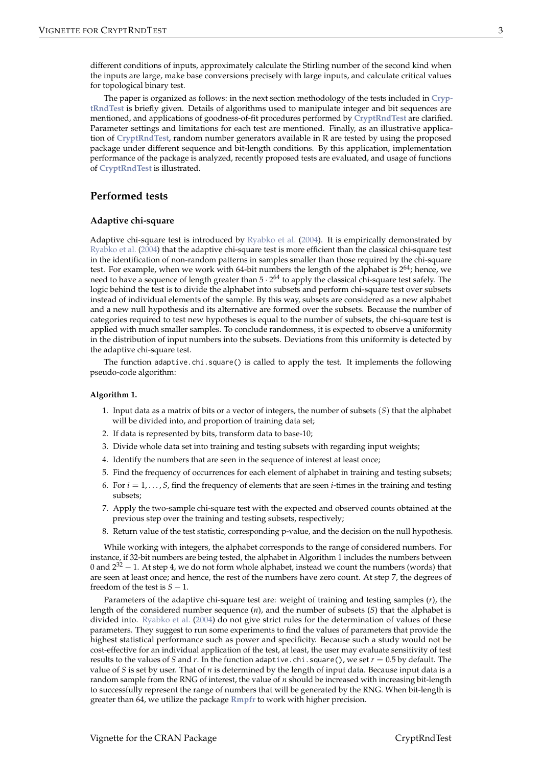<span id="page-2-0"></span>different conditions of inputs, approximately calculate the Stirling number of the second kind when the inputs are large, make base conversions precisely with large inputs, and calculate critical values for topological binary test.

The paper is organized as follows: in the next section methodology of the tests included in **[Cryp](http://CRAN.R-project.org/package=CryptRndTest)[tRndTest](http://CRAN.R-project.org/package=CryptRndTest)** is briefly given. Details of algorithms used to manipulate integer and bit sequences are mentioned, and applications of goodness-of-fit procedures performed by **[CryptRndTest](http://CRAN.R-project.org/package=CryptRndTest)** are clarified. Parameter settings and limitations for each test are mentioned. Finally, as an illustrative application of **[CryptRndTest](http://CRAN.R-project.org/package=CryptRndTest)**, random number generators available in R are tested by using the proposed package under different sequence and bit-length conditions. By this application, implementation performance of the package is analyzed, recently proposed tests are evaluated, and usage of functions of **[CryptRndTest](http://CRAN.R-project.org/package=CryptRndTest)** is illustrated.

## **Performed tests**

### **Adaptive chi-square**

Adaptive chi-square test is introduced by [Ryabko et al.](#page-16-13) [\(2004\)](#page-16-13). It is empirically demonstrated by [Ryabko et al.](#page-16-13) [\(2004\)](#page-16-13) that the adaptive chi-square test is more efficient than the classical chi-square test in the identification of non-random patterns in samples smaller than those required by the chi-square test. For example, when we work with 64-bit numbers the length of the alphabet is  $2^{64}$ ; hence, we need to have a sequence of length greater than 5  $\cdot$  2<sup>64</sup> to apply the classical chi-square test safely. The logic behind the test is to divide the alphabet into subsets and perform chi-square test over subsets instead of individual elements of the sample. By this way, subsets are considered as a new alphabet and a new null hypothesis and its alternative are formed over the subsets. Because the number of categories required to test new hypotheses is equal to the number of subsets, the chi-square test is applied with much smaller samples. To conclude randomness, it is expected to observe a uniformity in the distribution of input numbers into the subsets. Deviations from this uniformity is detected by the adaptive chi-square test.

The function adaptive.chi.square() is called to apply the test. It implements the following pseudo-code algorithm:

#### **Algorithm 1.**

- 1. Input data as a matrix of bits or a vector of integers, the number of subsets (*S*) that the alphabet will be divided into, and proportion of training data set;
- 2. If data is represented by bits, transform data to base-10;
- 3. Divide whole data set into training and testing subsets with regarding input weights;
- 4. Identify the numbers that are seen in the sequence of interest at least once;
- 5. Find the frequency of occurrences for each element of alphabet in training and testing subsets;
- 6. For  $i = 1, \ldots, S$ , find the frequency of elements that are seen *i*-times in the training and testing subsets;
- 7. Apply the two-sample chi-square test with the expected and observed counts obtained at the previous step over the training and testing subsets, respectively;
- 8. Return value of the test statistic, corresponding p-value, and the decision on the null hypothesis.

While working with integers, the alphabet corresponds to the range of considered numbers. For instance, if 32-bit numbers are being tested, the alphabet in Algorithm 1 includes the numbers between 0 and  $2^{32} - 1$ . At step 4, we do not form whole alphabet, instead we count the numbers (words) that are seen at least once; and hence, the rest of the numbers have zero count. At step 7, the degrees of freedom of the test is  $S - 1$ .

Parameters of the adaptive chi-square test are: weight of training and testing samples (*r*), the length of the considered number sequence (*n*), and the number of subsets (*S*) that the alphabet is divided into. [Ryabko et al.](#page-16-13) [\(2004\)](#page-16-13) do not give strict rules for the determination of values of these parameters. They suggest to run some experiments to find the values of parameters that provide the highest statistical performance such as power and specificity. Because such a study would not be cost-effective for an individual application of the test, at least, the user may evaluate sensitivity of test results to the values of *S* and *r*. In the function adaptive.chi.square(), we set *r* = 0.5 by default. The value of *S* is set by user. That of *n* is determined by the length of input data. Because input data is a random sample from the RNG of interest, the value of *n* should be increased with increasing bit-length to successfully represent the range of numbers that will be generated by the RNG. When bit-length is greater than 64, we utilize the package **[Rmpfr](http://CRAN.R-project.org/package=Rmpfr)** to work with higher precision.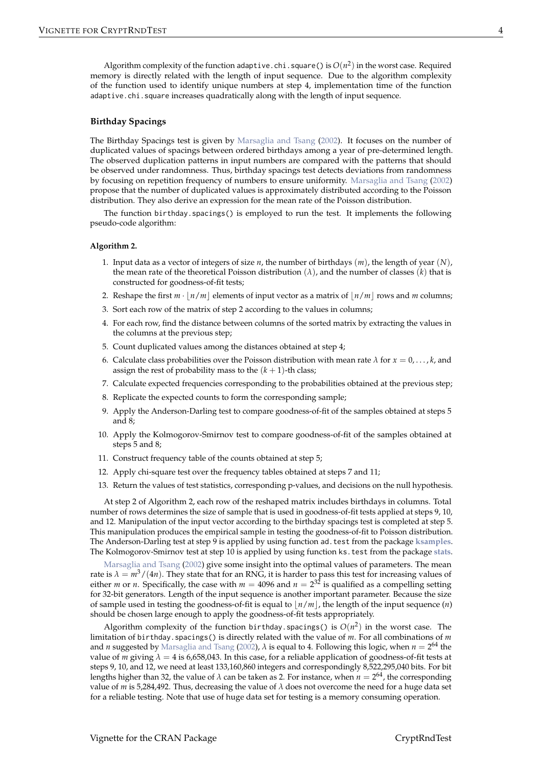<span id="page-3-0"></span>Algorithm complexity of the function adaptive . chi . square () is  $O(n^2)$  in the worst case. Required memory is directly related with the length of input sequence. Due to the algorithm complexity of the function used to identify unique numbers at step 4, implementation time of the function adaptive.chi.square increases quadratically along with the length of input sequence.

#### **Birthday Spacings**

The Birthday Spacings test is given by [Marsaglia and Tsang](#page-16-0) [\(2002\)](#page-16-0). It focuses on the number of duplicated values of spacings between ordered birthdays among a year of pre-determined length. The observed duplication patterns in input numbers are compared with the patterns that should be observed under randomness. Thus, birthday spacings test detects deviations from randomness by focusing on repetition frequency of numbers to ensure uniformity. [Marsaglia and Tsang](#page-16-0) [\(2002\)](#page-16-0) propose that the number of duplicated values is approximately distributed according to the Poisson distribution. They also derive an expression for the mean rate of the Poisson distribution.

The function birthday.spacings() is employed to run the test. It implements the following pseudo-code algorithm:

#### **Algorithm 2.**

- 1. Input data as a vector of integers of size *n*, the number of birthdays (*m*), the length of year (*N*), the mean rate of the theoretical Poisson distribution (*λ*), and the number of classes (*k*) that is constructed for goodness-of-fit tests;
- 2. Reshape the first  $m \cdot |n/m|$  elements of input vector as a matrix of  $|n/m|$  rows and *m* columns;
- 3. Sort each row of the matrix of step 2 according to the values in columns;
- 4. For each row, find the distance between columns of the sorted matrix by extracting the values in the columns at the previous step;
- 5. Count duplicated values among the distances obtained at step 4;
- 6. Calculate class probabilities over the Poisson distribution with mean rate  $\lambda$  for  $x = 0, \ldots, k$ , and assign the rest of probability mass to the  $(k + 1)$ -th class;
- 7. Calculate expected frequencies corresponding to the probabilities obtained at the previous step;
- 8. Replicate the expected counts to form the corresponding sample;
- 9. Apply the Anderson-Darling test to compare goodness-of-fit of the samples obtained at steps 5 and 8;
- 10. Apply the Kolmogorov-Smirnov test to compare goodness-of-fit of the samples obtained at steps 5 and 8;
- 11. Construct frequency table of the counts obtained at step 5;
- 12. Apply chi-square test over the frequency tables obtained at steps 7 and 11;
- 13. Return the values of test statistics, corresponding p-values, and decisions on the null hypothesis.

At step 2 of Algorithm 2, each row of the reshaped matrix includes birthdays in columns. Total number of rows determines the size of sample that is used in goodness-of-fit tests applied at steps 9, 10, and 12. Manipulation of the input vector according to the birthday spacings test is completed at step 5. This manipulation produces the empirical sample in testing the goodness-of-fit to Poisson distribution. The Anderson-Darling test at step 9 is applied by using function ad.test from the package **[ksamples](http://CRAN.R-project.org/package=ksamples)**. The Kolmogorov-Smirnov test at step 10 is applied by using function ks.test from the package **[stats](http://CRAN.R-project.org/package=stats)**.

[Marsaglia and Tsang](#page-16-0) [\(2002\)](#page-16-0) give some insight into the optimal values of parameters. The mean rate is  $\lambda = m^3/(4n)$ . They state that for an RNG, it is harder to pass this test for increasing values of either *m* or *n*. Specifically, the case with  $m = 4096$  and  $n = 2^{32}$  is qualified as a compelling setting for 32-bit generators. Length of the input sequence is another important parameter. Because the size of sample used in testing the goodness-of-fit is equal to  $\frac{n}{m}$ , the length of the input sequence  $(n)$ should be chosen large enough to apply the goodness-of-fit tests appropriately.

Algorithm complexity of the function birthday.spacings() is  $O(n^2)$  in the worst case. The limitation of birthday.spacings() is directly related with the value of *m*. For all combinations of *m* and *n* suggested by [Marsaglia and Tsang](#page-16-0) [\(2002\)](#page-16-0), *λ* is equal to 4. Following this logic, when *n* = 2 <sup>64</sup> the value of *m* giving  $\lambda = 4$  is 6,658,043. In this case, for a reliable application of goodness-of-fit tests at steps 9, 10, and 12, we need at least 133,160,860 integers and correspondingly 8,522,295,040 bits. For bit lengths higher than 32, the value of  $\lambda$  can be taken as 2. For instance, when  $n=2^{64}$ , the corresponding value of *m* is 5,284,492. Thus, decreasing the value of  $\lambda$  does not overcome the need for a huge data set for a reliable testing. Note that use of huge data set for testing is a memory consuming operation.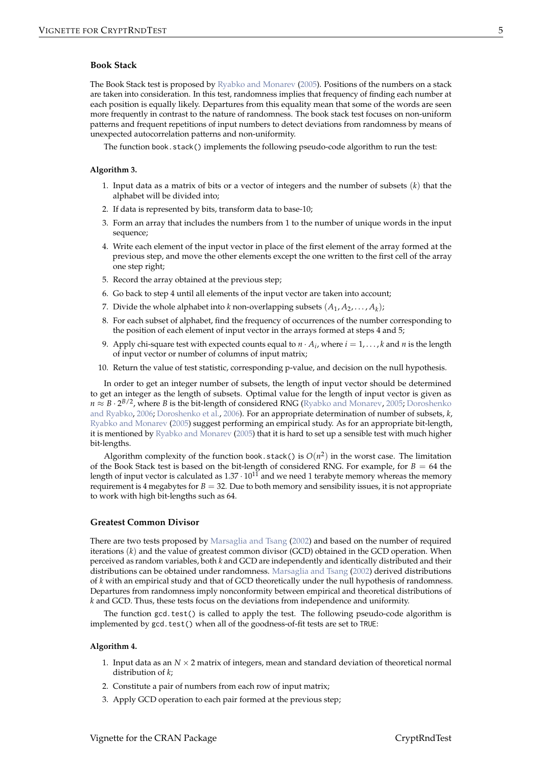#### <span id="page-4-0"></span>**Book Stack**

The Book Stack test is proposed by [Ryabko and Monarev](#page-16-14) [\(2005\)](#page-16-14). Positions of the numbers on a stack are taken into consideration. In this test, randomness implies that frequency of finding each number at each position is equally likely. Departures from this equality mean that some of the words are seen more frequently in contrast to the nature of randomness. The book stack test focuses on non-uniform patterns and frequent repetitions of input numbers to detect deviations from randomness by means of unexpected autocorrelation patterns and non-uniformity.

The function book.stack() implements the following pseudo-code algorithm to run the test:

#### **Algorithm 3.**

- 1. Input data as a matrix of bits or a vector of integers and the number of subsets (*k*) that the alphabet will be divided into;
- 2. If data is represented by bits, transform data to base-10;
- 3. Form an array that includes the numbers from 1 to the number of unique words in the input sequence;
- 4. Write each element of the input vector in place of the first element of the array formed at the previous step, and move the other elements except the one written to the first cell of the array one step right;
- 5. Record the array obtained at the previous step;
- 6. Go back to step 4 until all elements of the input vector are taken into account;
- 7. Divide the whole alphabet into *k* non-overlapping subsets  $(A_1, A_2, \ldots, A_k)$ ;
- 8. For each subset of alphabet, find the frequency of occurrences of the number corresponding to the position of each element of input vector in the arrays formed at steps 4 and 5;
- 9. Apply chi-square test with expected counts equal to  $n \cdot A_i$ , where  $i = 1, \ldots, k$  and  $n$  is the length of input vector or number of columns of input matrix;
- 10. Return the value of test statistic, corresponding p-value, and decision on the null hypothesis.

In order to get an integer number of subsets, the length of input vector should be determined to get an integer as the length of subsets. Optimal value for the length of input vector is given as *n ≈ B* · 2<sup>B/2</sup>, where *B* is the bit-length of considered RNG [\(Ryabko and Monarev,](#page-16-14) [2005;](#page-16-14) [Doroshenko](#page-15-14) [and Ryabko,](#page-15-14) [2006;](#page-15-14) [Doroshenko et al.,](#page-15-15) [2006\)](#page-15-15). For an appropriate determination of number of subsets, *k*, [Ryabko and Monarev](#page-16-14) [\(2005\)](#page-16-14) suggest performing an empirical study. As for an appropriate bit-length, it is mentioned by [Ryabko and Monarev](#page-16-14) [\(2005\)](#page-16-14) that it is hard to set up a sensible test with much higher bit-lengths.

Algorithm complexity of the function book.stack() is  $O(n^2)$  in the worst case. The limitation of the Book Stack test is based on the bit-length of considered RNG. For example, for *B* = 64 the length of input vector is calculated as  $1.37 \cdot 10^{11}$  and we need 1 terabyte memory whereas the memory requirement is 4 megabytes for  $B = 32$ . Due to both memory and sensibility issues, it is not appropriate to work with high bit-lengths such as 64.

## **Greatest Common Divisor**

There are two tests proposed by [Marsaglia and Tsang](#page-16-0) [\(2002\)](#page-16-0) and based on the number of required iterations (*k*) and the value of greatest common divisor (GCD) obtained in the GCD operation. When perceived as random variables, both *k* and GCD are independently and identically distributed and their distributions can be obtained under randomness. [Marsaglia and Tsang](#page-16-0) [\(2002\)](#page-16-0) derived distributions of *k* with an empirical study and that of GCD theoretically under the null hypothesis of randomness. Departures from randomness imply nonconformity between empirical and theoretical distributions of *k* and GCD. Thus, these tests focus on the deviations from independence and uniformity.

The function gcd.test() is called to apply the test. The following pseudo-code algorithm is implemented by gcd.test() when all of the goodness-of-fit tests are set to TRUE:

#### **Algorithm 4.**

- 1. Input data as an  $N \times 2$  matrix of integers, mean and standard deviation of theoretical normal distribution of *k*;
- 2. Constitute a pair of numbers from each row of input matrix;
- 3. Apply GCD operation to each pair formed at the previous step;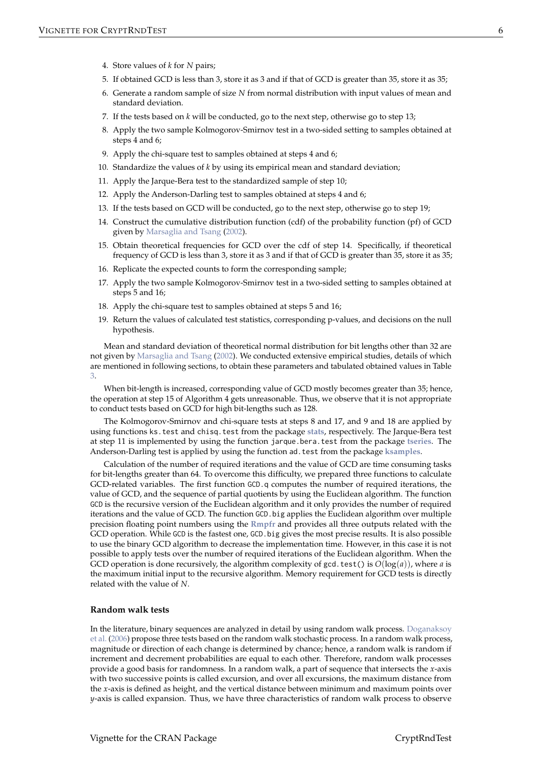- <span id="page-5-0"></span>4. Store values of *k* for *N* pairs;
- 5. If obtained GCD is less than 3, store it as 3 and if that of GCD is greater than 35, store it as 35;
- 6. Generate a random sample of size *N* from normal distribution with input values of mean and standard deviation.
- 7. If the tests based on *k* will be conducted, go to the next step, otherwise go to step 13;
- 8. Apply the two sample Kolmogorov-Smirnov test in a two-sided setting to samples obtained at steps 4 and 6;
- 9. Apply the chi-square test to samples obtained at steps 4 and 6;
- 10. Standardize the values of *k* by using its empirical mean and standard deviation;
- 11. Apply the Jarque-Bera test to the standardized sample of step 10;
- 12. Apply the Anderson-Darling test to samples obtained at steps 4 and 6;
- 13. If the tests based on GCD will be conducted, go to the next step, otherwise go to step 19;
- 14. Construct the cumulative distribution function (cdf) of the probability function (pf) of GCD given by [Marsaglia and Tsang](#page-16-0) [\(2002\)](#page-16-0).
- 15. Obtain theoretical frequencies for GCD over the cdf of step 14. Specifically, if theoretical frequency of GCD is less than 3, store it as 3 and if that of GCD is greater than 35, store it as 35;
- 16. Replicate the expected counts to form the corresponding sample;
- 17. Apply the two sample Kolmogorov-Smirnov test in a two-sided setting to samples obtained at steps 5 and 16;
- 18. Apply the chi-square test to samples obtained at steps 5 and 16;
- 19. Return the values of calculated test statistics, corresponding p-values, and decisions on the null hypothesis.

Mean and standard deviation of theoretical normal distribution for bit lengths other than 32 are not given by [Marsaglia and Tsang](#page-16-0) [\(2002\)](#page-16-0). We conducted extensive empirical studies, details of which are mentioned in following sections, to obtain these parameters and tabulated obtained values in Table [3.](#page-9-0)

When bit-length is increased, corresponding value of GCD mostly becomes greater than 35; hence, the operation at step 15 of Algorithm 4 gets unreasonable. Thus, we observe that it is not appropriate to conduct tests based on GCD for high bit-lengths such as 128.

The Kolmogorov-Smirnov and chi-square tests at steps 8 and 17, and 9 and 18 are applied by using functions ks.test and chisq.test from the package **[stats](http://CRAN.R-project.org/package=stats)**, respectively. The Jarque-Bera test at step 11 is implemented by using the function jarque.bera.test from the package **[tseries](http://CRAN.R-project.org/package=tseries)**. The Anderson-Darling test is applied by using the function ad.test from the package **[ksamples](http://CRAN.R-project.org/package=ksamples)**.

Calculation of the number of required iterations and the value of GCD are time consuming tasks for bit-lengths greater than 64. To overcome this difficulty, we prepared three functions to calculate GCD-related variables. The first function GCD.q computes the number of required iterations, the value of GCD, and the sequence of partial quotients by using the Euclidean algorithm. The function GCD is the recursive version of the Euclidean algorithm and it only provides the number of required iterations and the value of GCD. The function GCD.big applies the Euclidean algorithm over multiple precision floating point numbers using the **[Rmpfr](http://CRAN.R-project.org/package=Rmpfr)** and provides all three outputs related with the GCD operation. While GCD is the fastest one, GCD.big gives the most precise results. It is also possible to use the binary GCD algorithm to decrease the implementation time. However, in this case it is not possible to apply tests over the number of required iterations of the Euclidean algorithm. When the GCD operation is done recursively, the algorithm complexity of gcd. test() is  $O(log(a))$ , where *a* is the maximum initial input to the recursive algorithm. Memory requirement for GCD tests is directly related with the value of *N*.

#### **Random walk tests**

In the literature, binary sequences are analyzed in detail by using random walk process. [Doganaksoy](#page-15-11) [et al.](#page-15-11) [\(2006\)](#page-15-11) propose three tests based on the random walk stochastic process. In a random walk process, magnitude or direction of each change is determined by chance; hence, a random walk is random if increment and decrement probabilities are equal to each other. Therefore, random walk processes provide a good basis for randomness. In a random walk, a part of sequence that intersects the *x*-axis with two successive points is called excursion, and over all excursions, the maximum distance from the *x*-axis is defined as height, and the vertical distance between minimum and maximum points over *y*-axis is called expansion. Thus, we have three characteristics of random walk process to observe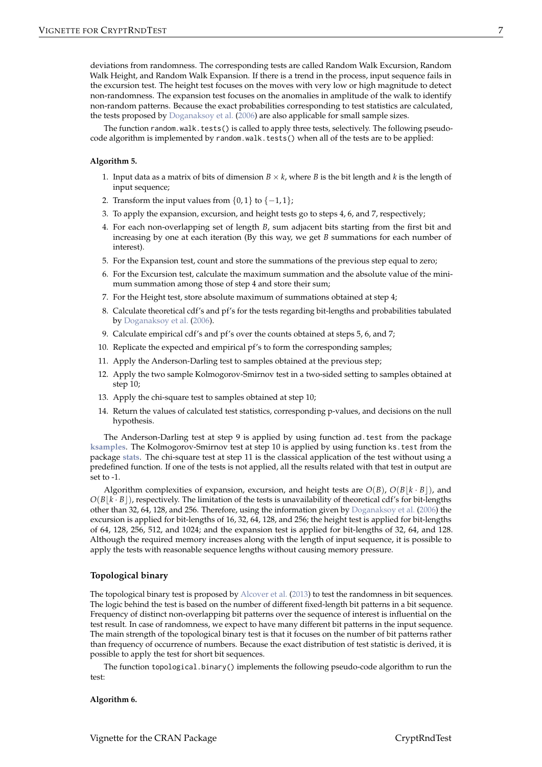<span id="page-6-0"></span>deviations from randomness. The corresponding tests are called Random Walk Excursion, Random Walk Height, and Random Walk Expansion. If there is a trend in the process, input sequence fails in the excursion test. The height test focuses on the moves with very low or high magnitude to detect non-randomness. The expansion test focuses on the anomalies in amplitude of the walk to identify non-random patterns. Because the exact probabilities corresponding to test statistics are calculated, the tests proposed by [Doganaksoy et al.](#page-15-11) [\(2006\)](#page-15-11) are also applicable for small sample sizes.

The function random.walk.tests() is called to apply three tests, selectively. The following pseudocode algorithm is implemented by random.walk.tests() when all of the tests are to be applied:

#### **Algorithm 5.**

- 1. Input data as a matrix of bits of dimension  $B \times k$ , where *B* is the bit length and *k* is the length of input sequence;
- 2. Transform the input values from  $\{0, 1\}$  to  $\{-1, 1\}$ ;
- 3. To apply the expansion, excursion, and height tests go to steps 4, 6, and 7, respectively;
- 4. For each non-overlapping set of length *B*, sum adjacent bits starting from the first bit and increasing by one at each iteration (By this way, we get *B* summations for each number of interest).
- 5. For the Expansion test, count and store the summations of the previous step equal to zero;
- 6. For the Excursion test, calculate the maximum summation and the absolute value of the minimum summation among those of step 4 and store their sum;
- 7. For the Height test, store absolute maximum of summations obtained at step 4;
- 8. Calculate theoretical cdf's and pf's for the tests regarding bit-lengths and probabilities tabulated by [Doganaksoy et al.](#page-15-11) [\(2006\)](#page-15-11).
- 9. Calculate empirical cdf's and pf's over the counts obtained at steps 5, 6, and 7;
- 10. Replicate the expected and empirical pf's to form the corresponding samples;
- 11. Apply the Anderson-Darling test to samples obtained at the previous step;
- 12. Apply the two sample Kolmogorov-Smirnov test in a two-sided setting to samples obtained at step 10;
- 13. Apply the chi-square test to samples obtained at step 10;
- 14. Return the values of calculated test statistics, corresponding p-values, and decisions on the null hypothesis.

The Anderson-Darling test at step 9 is applied by using function ad.test from the package **[ksamples](http://CRAN.R-project.org/package=ksamples)**. The Kolmogorov-Smirnov test at step 10 is applied by using function ks.test from the package **[stats](http://CRAN.R-project.org/package=stats)**. The chi-square test at step 11 is the classical application of the test without using a predefined function. If one of the tests is not applied, all the results related with that test in output are set to -1.

Algorithm complexities of expansion, excursion, and height tests are  $O(B)$ ,  $O(B|k \cdot B)$ , and  $O(B|k \cdot B)$ , respectively. The limitation of the tests is unavailability of theoretical cdf's for bit-lengths other than 32, 64, 128, and 256. Therefore, using the information given by [Doganaksoy et al.](#page-15-11) [\(2006\)](#page-15-11) the excursion is applied for bit-lengths of 16, 32, 64, 128, and 256; the height test is applied for bit-lengths of 64, 128, 256, 512, and 1024; and the expansion test is applied for bit-lengths of 32, 64, and 128. Although the required memory increases along with the length of input sequence, it is possible to apply the tests with reasonable sequence lengths without causing memory pressure.

#### **Topological binary**

The topological binary test is proposed by [Alcover et al.](#page-15-12) [\(2013\)](#page-15-12) to test the randomness in bit sequences. The logic behind the test is based on the number of different fixed-length bit patterns in a bit sequence. Frequency of distinct non-overlapping bit patterns over the sequence of interest is influential on the test result. In case of randomness, we expect to have many different bit patterns in the input sequence. The main strength of the topological binary test is that it focuses on the number of bit patterns rather than frequency of occurrence of numbers. Because the exact distribution of test statistic is derived, it is possible to apply the test for short bit sequences.

The function topological.binary() implements the following pseudo-code algorithm to run the test:

#### **Algorithm 6.**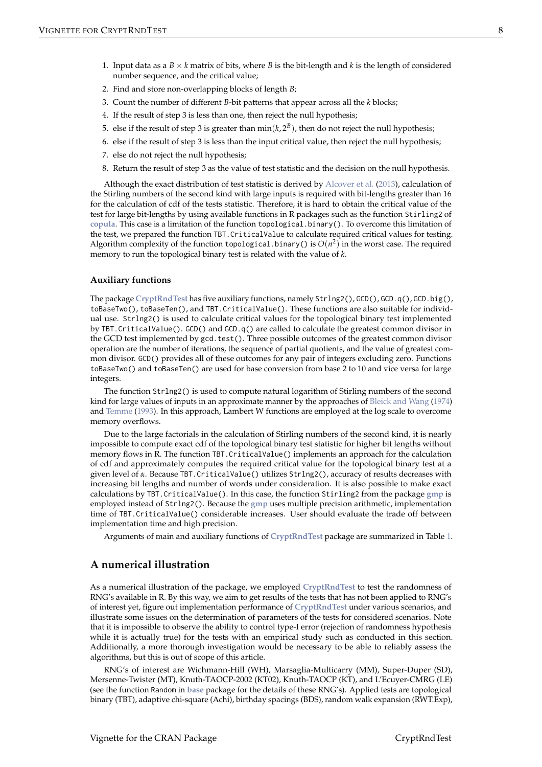- <span id="page-7-0"></span>1. Input data as a  $B \times k$  matrix of bits, where *B* is the bit-length and *k* is the length of considered number sequence, and the critical value;
- 2. Find and store non-overlapping blocks of length *B*;
- 3. Count the number of different *B*-bit patterns that appear across all the *k* blocks;
- 4. If the result of step 3 is less than one, then reject the null hypothesis;
- 5. else if the result of step 3 is greater than  $min(k, 2^B)$ , then do not reject the null hypothesis;
- 6. else if the result of step 3 is less than the input critical value, then reject the null hypothesis;
- 7. else do not reject the null hypothesis;
- 8. Return the result of step 3 as the value of test statistic and the decision on the null hypothesis.

Although the exact distribution of test statistic is derived by [Alcover et al.](#page-15-12) [\(2013\)](#page-15-12), calculation of the Stirling numbers of the second kind with large inputs is required with bit-lengths greater than 16 for the calculation of cdf of the tests statistic. Therefore, it is hard to obtain the critical value of the test for large bit-lengths by using available functions in R packages such as the function Stirling2 of **[copula](http://CRAN.R-project.org/package=copula)**. This case is a limitation of the function topological.binary(). To overcome this limitation of the test, we prepared the function TBT.CriticalValue to calculate required critical values for testing. Algorithm complexity of the function topological.binary() is  $O(n^2)$  in the worst case. The required memory to run the topological binary test is related with the value of *k*.

#### **Auxiliary functions**

The package **[CryptRndTest](http://CRAN.R-project.org/package=CryptRndTest)** has five auxiliary functions, namely Strlng2(), GCD(), GCD.q(), GCD.big(), toBaseTwo(), toBaseTen(), and TBT.CriticalValue(). These functions are also suitable for individual use. Strlng2() is used to calculate critical values for the topological binary test implemented by TBT.CriticalValue(). GCD() and GCD.q() are called to calculate the greatest common divisor in the GCD test implemented by gcd.test(). Three possible outcomes of the greatest common divisor operation are the number of iterations, the sequence of partial quotients, and the value of greatest common divisor. GCD() provides all of these outcomes for any pair of integers excluding zero. Functions toBaseTwo() and toBaseTen() are used for base conversion from base 2 to 10 and vice versa for large integers.

The function Strlng2() is used to compute natural logarithm of Stirling numbers of the second kind for large values of inputs in an approximate manner by the approaches of [Bleick and Wang](#page-15-16) [\(1974\)](#page-15-16) and [Temme](#page-16-15) [\(1993\)](#page-16-15). In this approach, Lambert W functions are employed at the log scale to overcome memory overflows.

Due to the large factorials in the calculation of Stirling numbers of the second kind, it is nearly impossible to compute exact cdf of the topological binary test statistic for higher bit lengths without memory flows in R. The function TBT.CriticalValue() implements an approach for the calculation of cdf and approximately computes the required critical value for the topological binary test at a given level of *α*. Because TBT.CriticalValue() utilizes Strlng2(), accuracy of results decreases with increasing bit lengths and number of words under consideration. It is also possible to make exact calculations by TBT.CriticalValue(). In this case, the function Stirling2 from the package **[gmp](http://CRAN.R-project.org/package=gmp)** is employed instead of Strlng2(). Because the **[gmp](http://CRAN.R-project.org/package=gmp)** uses multiple precision arithmetic, implementation time of TBT.CriticalValue() considerable increases. User should evaluate the trade off between implementation time and high precision.

Arguments of main and auxiliary functions of **[CryptRndTest](http://CRAN.R-project.org/package=CryptRndTest)** package are summarized in Table [1.](#page-8-0)

## **A numerical illustration**

As a numerical illustration of the package, we employed **[CryptRndTest](http://CRAN.R-project.org/package=CryptRndTest)** to test the randomness of RNG's available in R. By this way, we aim to get results of the tests that has not been applied to RNG's of interest yet, figure out implementation performance of **[CryptRndTest](http://CRAN.R-project.org/package=CryptRndTest)** under various scenarios, and illustrate some issues on the determination of parameters of the tests for considered scenarios. Note that it is impossible to observe the ability to control type-I error (rejection of randomness hypothesis while it is actually true) for the tests with an empirical study such as conducted in this section. Additionally, a more thorough investigation would be necessary to be able to reliably assess the algorithms, but this is out of scope of this article.

RNG's of interest are Wichmann-Hill (WH), Marsaglia-Multicarry (MM), Super-Duper (SD), Mersenne-Twister (MT), Knuth-TAOCP-2002 (KT02), Knuth-TAOCP (KT), and L'Ecuyer-CMRG (LE) (see the function Random in **[base](http://CRAN.R-project.org/package=base)** package for the details of these RNG's). Applied tests are topological binary (TBT), adaptive chi-square (Achi), birthday spacings (BDS), random walk expansion (RWT.Exp),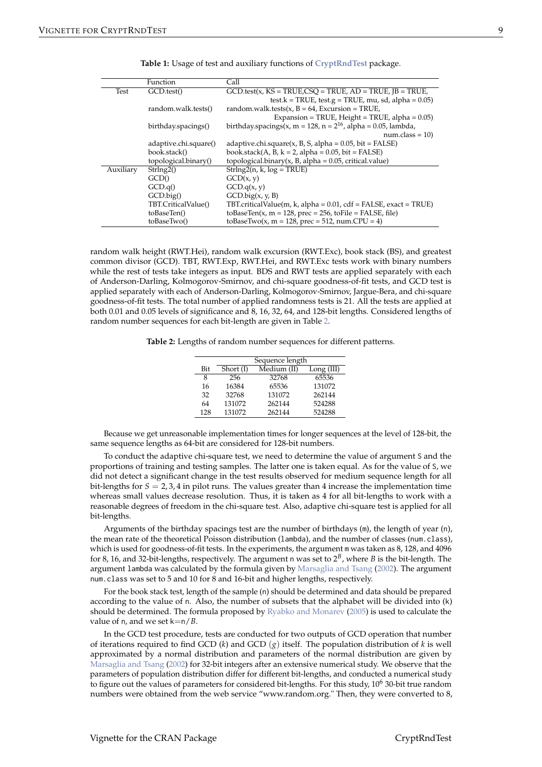<span id="page-8-2"></span><span id="page-8-0"></span>

|           | Function              | Call                                                                |
|-----------|-----------------------|---------------------------------------------------------------------|
| Test      | GCD.test()            | $GCD.test(x, KS = TRUE, CSO = TRUE, AD = TRUE, IB = TRUE,$          |
|           |                       | test.k = TRUE, test.g = TRUE, mu, sd, alpha = $0.05$ )              |
|           | random.walk.tests()   | random.walk.tests(x, $B = 64$ , Excursion = TRUE,                   |
|           |                       | Expansion = TRUE, Height = TRUE, alpha = $0.05$ )                   |
|           | birthday.spacings()   | birthday.spacings(x, m = 128, n = $2^{16}$ , alpha = 0.05, lambda,  |
|           |                       | $num.class = 10$                                                    |
|           | adaptive.chi.square() | adaptive.chi.square $(x, B, S,$ alpha = 0.05, bit = FALSE)          |
|           | book.stack()          | book.stack $(A, B, k = 2, alpha = 0.05, bit = FALSE)$               |
|           | topological.binary()  | topological.binary(x, B, alpha = $0.05$ , critical.value)           |
| Auxiliary | Strln(g2()            | $Strlng2(n, k, log = TRUE)$                                         |
|           | GCD()                 | GCD(x, y)                                                           |
|           | GCD.q()               | GCD.q(x, y)                                                         |
|           | $GCD$ .big $()$       | $GCD$ big $(x, y, B)$                                               |
|           | TBT.CriticalValue()   | TBT.criticalValue(m, k, alpha = $0.01$ , cdf = FALSE, exact = TRUE) |
|           | toBaseTen()           | toBaseTen(x, m = 128, prec = 256, toFile = FALSE, file)             |
|           | toBaseTwo()           | toBaseTwo(x, m = 128, prec = 512, num.CPU = 4)                      |

| <b>Table 1:</b> Usage of test and auxiliary functions of CryptRndTest package. |  |  |
|--------------------------------------------------------------------------------|--|--|
|                                                                                |  |  |

random walk height (RWT.Hei), random walk excursion (RWT.Exc), book stack (BS), and greatest common divisor (GCD). TBT, RWT.Exp, RWT.Hei, and RWT.Exc tests work with binary numbers while the rest of tests take integers as input. BDS and RWT tests are applied separately with each of Anderson-Darling, Kolmogorov-Smirnov, and chi-square goodness-of-fit tests, and GCD test is applied separately with each of Anderson-Darling, Kolmogorov-Smirnov, Jargue-Bera, and chi-square goodness-of-fit tests. The total number of applied randomness tests is 21. All the tests are applied at both 0.01 and 0.05 levels of significance and 8, 16, 32, 64, and 128-bit lengths. Considered lengths of random number sequences for each bit-length are given in Table [2.](#page-8-1)

<span id="page-8-1"></span>**Table 2:** Lengths of random number sequences for different patterns.

|     |          | Sequence length |            |
|-----|----------|-----------------|------------|
| Bit | Short(I) | Median (II)     | Long (III) |
| 8   | 256      | 32768           | 65536      |
| 16  | 16384    | 65536           | 131072     |
| 32  | 32768    | 131072          | 262144     |
| 64  | 131072   | 262144          | 524288     |
| 128 | 131072   | 262144          | 524288     |

Because we get unreasonable implementation times for longer sequences at the level of 128-bit, the same sequence lengths as 64-bit are considered for 128-bit numbers.

To conduct the adaptive chi-square test, we need to determine the value of argument S and the proportions of training and testing samples. The latter one is taken equal. As for the value of S, we did not detect a significant change in the test results observed for medium sequence length for all bit-lengths for  $S = 2,3,4$  in pilot runs. The values greater than 4 increase the implementation time whereas small values decrease resolution. Thus, it is taken as 4 for all bit-lengths to work with a reasonable degrees of freedom in the chi-square test. Also, adaptive chi-square test is applied for all bit-lengths.

Arguments of the birthday spacings test are the number of birthdays (m), the length of year (n), the mean rate of the theoretical Poisson distribution (lambda), and the number of classes (num.class), which is used for goodness-of-fit tests. In the experiments, the argument m was taken as 8, 128, and 4096 for 8, 16, and 32-bit-lengths, respectively. The argument n was set to 2 *B* , where *B* is the bit-length. The argument lambda was calculated by the formula given by [Marsaglia and Tsang](#page-16-0) [\(2002\)](#page-16-0). The argument num.class was set to 5 and 10 for 8 and 16-bit and higher lengths, respectively.

For the book stack test, length of the sample (n) should be determined and data should be prepared according to the value of n. Also, the number of subsets that the alphabet will be divided into (k) should be determined. The formula proposed by [Ryabko and Monarev](#page-16-14) [\(2005\)](#page-16-14) is used to calculate the value of n, and we set k=n/*B*.

In the GCD test procedure, tests are conducted for two outputs of GCD operation that number of iterations required to find GCD (*k*) and GCD (*g*) itself. The population distribution of *k* is well approximated by a normal distribution and parameters of the normal distribution are given by [Marsaglia and Tsang](#page-16-0) [\(2002\)](#page-16-0) for 32-bit integers after an extensive numerical study. We observe that the parameters of population distribution differ for different bit-lengths, and conducted a numerical study to figure out the values of parameters for considered bit-lengths. For this study, 10<sup>6</sup> 30-bit true random numbers were obtained from the web service "www.random.org." Then, they were converted to 8,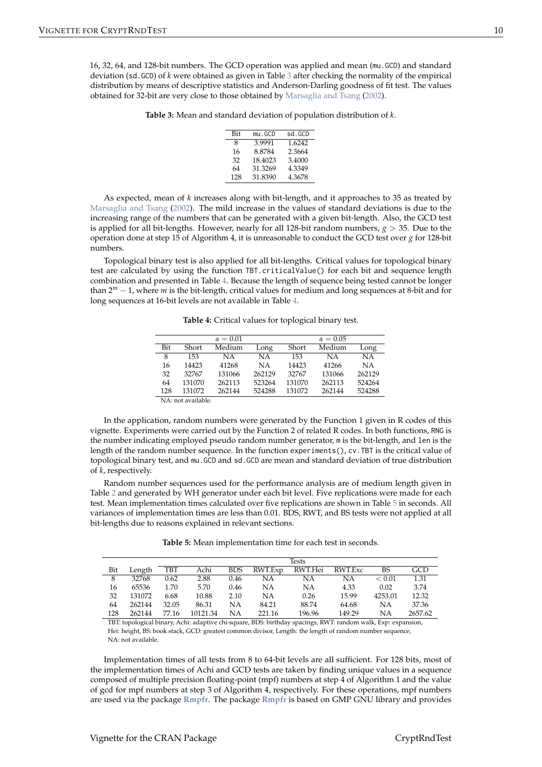<span id="page-9-3"></span><span id="page-9-0"></span>16, 32, 64, and 128-bit numbers. The GCD operation was applied and mean (mu.GCD) and standard deviation (sd.GCD) of *k* were obtained as given in Table [3](#page-9-0) after checking the normality of the empirical distribution by means of descriptive statistics and Anderson-Darling goodness of fit test. The values obtained for 32-bit are very close to those obtained by [Marsaglia and Tsang](#page-16-0) [\(2002\)](#page-16-0).

**Table 3:** Mean and standard deviation of population distribution of *k*.

| Bit | mu.GCD  | sd.GCD |
|-----|---------|--------|
| 8   | 3.9991  | 1.6242 |
| 16  | 8.8784  | 2.3664 |
| 32  | 18.4023 | 3.4000 |
| 64  | 31.3269 | 4.3349 |
| 128 | 31.8390 | 4.3678 |

As expected, mean of *k* increases along with bit-length, and it approaches to 35 as treated by [Marsaglia and Tsang](#page-16-0) [\(2002\)](#page-16-0). The mild increase in the values of standard deviations is due to the increasing range of the numbers that can be generated with a given bit-length. Also, the GCD test is applied for all bit-lengths. However, nearly for all 128-bit random numbers, *g* > 35. Due to the operation done at step 15 of Algorithm 4, it is unreasonable to conduct the GCD test over *g* for 128-bit numbers.

<span id="page-9-1"></span>Topological binary test is also applied for all bit-lengths. Critical values for topological binary test are calculated by using the function TBT.criticalValue() for each bit and sequence length combination and presented in Table [4.](#page-9-1) Because the length of sequence being tested cannot be longer than 2 *<sup>m</sup>* − 1, where *m* is the bit-length, critical values for medium and long sequences at 8-bit and for long sequences at 16-bit levels are not available in Table [4.](#page-9-1)

**Table 4:** Critical values for toplogical binary test.

|     |                  | $\alpha = 0.01$ |        |        | $\alpha = 0.05$ |           |
|-----|------------------|-----------------|--------|--------|-----------------|-----------|
| Bit | Short            | Medium          | Long   | Short  | Medium          | Long      |
| 8   | 153              | ΝA              | NΑ     | 153    | NA.             | <b>NA</b> |
| 16  | 14423            | 41268           | NΑ     | 14423  | 41266           | <b>NA</b> |
| 32  | 32767            | 131066          | 262129 | 32767  | 131066          | 262129    |
| 64  | 131070           | 262113          | 523264 | 131070 | 262113          | 524264    |
| 128 | 131072           | 262144          | 524288 | 131072 | 262144          | 524288    |
|     | <b>ATA (111)</b> |                 |        |        |                 |           |

NA: not available.

In the application, random numbers were generated by the Function 1 given in R codes of this vignette. Experiments were carried out by the Function 2 of related R codes. In both functions, RNG is the number indicating employed pseudo random number generator, m is the bit-length, and len is the length of the random number sequence. In the function experiments(), cv.TBT is the critical value of topological binary test, and mu.GCD and sd.GCD are mean and standard deviation of true distribution of *k*, respectively.

Random number sequences used for the performance analysis are of medium length given in Table [2](#page-8-1) and generated by WH generator under each bit level. Five replications were made for each test. Mean implementation times calculated over five replications are shown in Table [5](#page-9-2) in seconds. All variances of implementation times are less than 0.01. BDS, RWT, and BS tests were not applied at all bit-lengths due to reasons explained in relevant sections.

**Table 5:** Mean implementation time for each test in seconds.

<span id="page-9-2"></span>

|     |        |       |          |            |         | Tests           |        |         |         |
|-----|--------|-------|----------|------------|---------|-----------------|--------|---------|---------|
| Bit | Length | TBT   | Achi     | <b>BDS</b> | RWT.Exp | RWT.Hei RWT.Exc |        | BS      | GCD     |
| 8   | 32768  | 0.62  | 2.88     | 0.46       | NА      | NΑ              | NΑ     | < 0.01  | 1.31    |
| 16  | 65536  | 1.70  | 5.70     | 0.46       | NΑ      | NΑ              | 4.33   | 0.02    | 3.74    |
| 32  | 131072 | 6.68  | 10.88    | 2.10       | NΑ      | 0.26            | 15.99  | 4253.01 | 12.32   |
| 64  | 262144 | 32.05 | 86.31    | NΑ         | 84.21   | 88.74           | 64.68  | NΑ      | 37.36   |
| 128 | 262144 | 77.16 | 10121.34 | <b>NA</b>  | 221.16  | 196.96          | 149.29 | NΑ      | 2657.62 |

TBT: topological binary, Achi: adaptive chi-square, BDS: birthday spacings, RWT: random walk, Exp: expansion, Hei: height, BS: book stack, GCD: greatest common divisor, Length: the length of random number sequence, NA: not available.

Implementation times of all tests from 8 to 64-bit levels are all sufficient. For 128 bits, most of the implementation times of Achi and GCD tests are taken by finding unique values in a sequence composed of multiple precision floating-point (mpf) numbers at step 4 of Algorithm 1 and the value of gcd for mpf numbers at step 3 of Algorithm 4, respectively. For these operations, mpf numbers are used via the package **[Rmpfr](http://CRAN.R-project.org/package=Rmpfr)**. The package **[Rmpfr](http://CRAN.R-project.org/package=Rmpfr)** is based on GMP GNU library and provides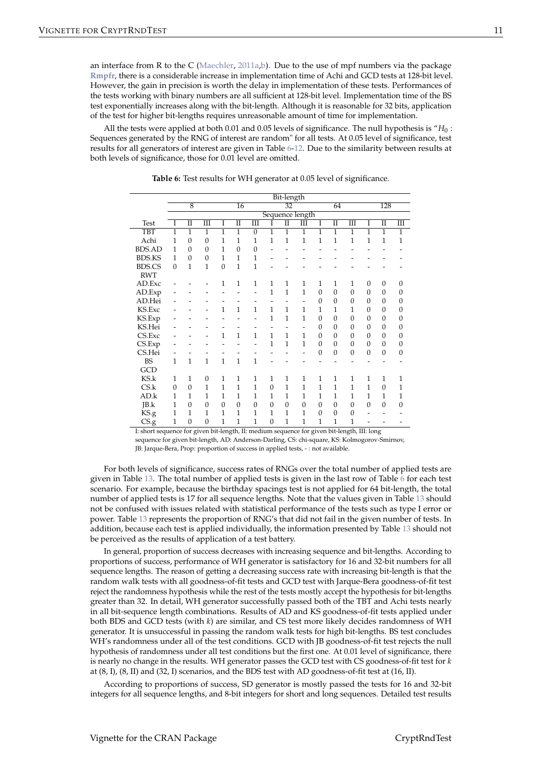<span id="page-10-1"></span>an interface from R to the C [\(Maechler,](#page-15-17) [2011a,](#page-15-17)[b\)](#page-15-18). Due to the use of mpf numbers via the package **[Rmpfr](http://CRAN.R-project.org/package=Rmpfr)**, there is a considerable increase in implementation time of Achi and GCD tests at 128-bit level. However, the gain in precision is worth the delay in implementation of these tests. Performances of the tests working with binary numbers are all sufficient at 128-bit level. Implementation time of the BS test exponentially increases along with the bit-length. Although it is reasonable for 32 bits, application of the test for higher bit-lengths requires unreasonable amount of time for implementation.

<span id="page-10-0"></span>All the tests were applied at both 0.01 and 0.05 levels of significance. The null hypothesis is "*H*<sup>0</sup> : Sequences generated by the RNG of interest are random" for all tests. At 0.05 level of significance, test results for all generators of interest are given in Table [6](#page-10-0)[-12.](#page-13-0) Due to the similarity between results at both levels of significance, those for 0.01 level are omitted.

|               | Bit-length     |                |                |                |                     |                       |                |                      |                 |                |                      |                         |                |                     |                  |
|---------------|----------------|----------------|----------------|----------------|---------------------|-----------------------|----------------|----------------------|-----------------|----------------|----------------------|-------------------------|----------------|---------------------|------------------|
|               |                | $\overline{8}$ |                |                | $\overline{16}$     |                       |                | $\overline{32}$      |                 |                | 64                   |                         |                | 128                 |                  |
|               |                |                |                |                |                     |                       |                |                      | Sequence length |                |                      |                         |                |                     |                  |
| <b>Test</b>   | I              | Π              | Ш              | I              | $\overline{\rm II}$ | $\overline{\rm{III}}$ | I              | $\overline{\rm{II}}$ | Ш               | Ī              | $\overline{\rm{II}}$ | $\overline{\mathbf{m}}$ | I              | $\overline{\rm II}$ | Ш                |
| <b>TBT</b>    | 1              | 1              | 1              | $\overline{1}$ | 1                   | $\theta$              | $\overline{1}$ | $\overline{1}$       | 1               | 1              | $\mathbf{1}$         | 1                       | $\overline{1}$ | $\overline{1}$      | $\overline{1}$   |
| Achi          | 1              | $\mathbf{0}$   | $\mathbf{0}$   | 1              | 1                   | 1                     | 1              | 1                    | $\overline{1}$  | $\overline{1}$ | $\mathbf{1}$         | $\overline{1}$          | 1              | $\overline{1}$      | $\mathbf{1}$     |
| <b>BDS.AD</b> | $\overline{1}$ | $\overline{0}$ | $\overline{0}$ | 1              | $\overline{0}$      | $\overline{0}$        |                |                      |                 |                |                      |                         |                |                     |                  |
| <b>BDS.KS</b> | 1              | $\overline{0}$ | $\mathbf{0}$   | 1              | 1                   | 1                     |                |                      |                 |                |                      |                         |                |                     |                  |
| <b>BDS.CS</b> | $\overline{0}$ | 1              | 1              | $\mathbf{0}$   | $\mathbf{1}$        | 1                     |                |                      |                 |                |                      |                         |                |                     |                  |
| <b>RWT</b>    |                |                |                |                |                     |                       |                |                      |                 |                |                      |                         |                |                     |                  |
| AD.Exc        |                |                |                | 1              | 1                   | 1                     | 1              | 1                    | 1               | $\mathbf{1}$   | $\mathbf{1}$         | 1                       | $\mathbf{0}$   | $\mathbf{0}$        | $\boldsymbol{0}$ |
| AD.Exp        |                |                |                |                |                     |                       | $\mathbf{1}$   | $\mathbf{1}$         | $\overline{1}$  | $\overline{0}$ | $\overline{0}$       | 0                       | $\mathbf{0}$   | $\overline{0}$      | $\boldsymbol{0}$ |
| AD.Hei        |                |                |                |                |                     |                       |                |                      |                 | $\overline{0}$ | $\theta$             | 0                       | $\theta$       | $\theta$            | $\boldsymbol{0}$ |
| KS.Exc        |                |                |                | $\mathbf{1}$   | $\overline{1}$      | $\mathbf{1}$          | $\mathbf{1}$   | $\overline{1}$       | 1               | 1              | 1                    | $\mathbf{1}$            | $\theta$       | $\mathbf{0}$        | $\boldsymbol{0}$ |
| KS.Exp        |                |                |                |                |                     |                       | 1              | 1                    | 1               | $\overline{0}$ | $\mathbf{0}$         | 0                       | $\theta$       | $\mathbf{0}$        | $\mathbf{0}$     |
| KS.Hei        |                |                |                |                |                     |                       |                |                      | -               | $\mathbf{0}$   | $\mathbf{0}$         | $\Omega$                | $\theta$       | $\mathbf{0}$        | $\boldsymbol{0}$ |
| CS.Exc        |                |                |                | 1              | $\mathbf{1}$        | $\mathbf{1}$          | $\mathbf{1}$   | 1                    | 1               | $\mathbf{0}$   | $\theta$             | 0                       | $\theta$       | $\theta$            | $\boldsymbol{0}$ |
| CS.Exp        |                |                |                |                |                     |                       | $\mathbf{1}$   | $\mathbf{1}$         | $\overline{1}$  | $\mathbf{0}$   | $\boldsymbol{0}$     | 0                       | $\theta$       | $\boldsymbol{0}$    | $\boldsymbol{0}$ |
| CS.Hei        |                |                |                |                |                     |                       |                |                      |                 | $\mathbf{0}$   | $\mathbf{0}$         | 0                       | $\mathbf{0}$   | $\mathbf{0}$        | $\boldsymbol{0}$ |
| BS            | 1              | $\mathbf{1}$   | $\mathbf{1}$   | $\mathbf{1}$   | $\mathbf{1}$        | $\mathbf{1}$          |                |                      |                 |                |                      |                         |                |                     |                  |
| GCD           |                |                |                |                |                     |                       |                |                      |                 |                |                      |                         |                |                     |                  |
| KS.k          | 1              | 1              | $\mathbf{0}$   | $\mathbf{1}$   | $\mathbf{1}$        | 1                     | 1              | 1                    | 1               | 1              | $\mathbf{1}$         | $\mathbf{1}$            | 1              | 1                   | 1                |
| CS.k          | $\mathbf{0}$   | $\mathbf{0}$   | 1              | $\mathbf{1}$   | $\overline{1}$      | $\mathbf{1}$          | $\overline{0}$ | $\overline{1}$       | $\overline{1}$  | $\overline{1}$ | $\mathbf{1}$         | 1                       | $\overline{1}$ | $\mathbf{0}$        | $\mathbf 1$      |
| AD.k          | 1              | 1              | 1              | 1              | 1                   | 1                     | 1              | 1                    | 1               | 1              | 1                    | 1                       | 1              | 1                   | 1                |
| JB.k          | 1              | $\overline{0}$ | $\overline{0}$ | $\mathbf{0}$   | $\Omega$            | $\Omega$              | $\overline{0}$ | $\overline{0}$       | $\mathbf{0}$    | $\overline{0}$ | $\theta$             | $\Omega$                | $\overline{0}$ | $\overline{0}$      | $\mathbf{0}$     |
| KS.g          | 1              | 1              | 1              | 1              | 1                   | 1                     | 1              | 1                    | 1               | $\mathbf{0}$   | $\boldsymbol{0}$     | 0                       |                |                     |                  |
| CS.g          | 1              | $\mathbf{0}$   | $\mathbf{0}$   | 1              | 1                   | $\mathbf{1}$          | $\overline{0}$ | 1                    | 1               | $\mathbf{1}$   | $\mathbf{1}$         | 1                       |                |                     |                  |

**Table 6:** Test results for WH generator at 0.05 level of significance.

I: short sequence for given bit-length, II: medium sequence for given bit-length, III: long

sequence for given bit-length, AD: Anderson-Darling, CS: chi-square, KS: Kolmogorov-Smirnov,

JB: Jarque-Bera, Prop: proportion of success in applied tests, - : not available.

For both levels of significance, success rates of RNGs over the total number of applied tests are given in Table [13.](#page-14-0) The total number of applied tests is given in the last row of Table [6](#page-10-0) for each test scenario. For example, because the birthday spacings test is not applied for 64 bit-length, the total number of applied tests is 17 for all sequence lengths. Note that the values given in Table [13](#page-14-0) should not be confused with issues related with statistical performance of the tests such as type I error or power. Table [13](#page-14-0) represents the proportion of RNG's that did not fail in the given number of tests. In addition, because each test is applied individually, the information presented by Table [13](#page-14-0) should not be perceived as the results of application of a test battery.

In general, proportion of success decreases with increasing sequence and bit-lengths. According to proportions of success, performance of WH generator is satisfactory for 16 and 32-bit numbers for all sequence lengths. The reason of getting a decreasing success rate with increasing bit-length is that the random walk tests with all goodness-of-fit tests and GCD test with Jarque-Bera goodness-of-fit test reject the randomness hypothesis while the rest of the tests mostly accept the hypothesis for bit-lengths greater than 32. In detail, WH generator successfully passed both of the TBT and Achi tests nearly in all bit-sequence length combinations. Results of AD and KS goodness-of-fit tests applied under both BDS and GCD tests (with *k*) are similar, and CS test more likely decides randomness of WH generator. It is unsuccessful in passing the random walk tests for high bit-lengths. BS test concludes WH's randomness under all of the test conditions. GCD with JB goodness-of-fit test rejects the null hypothesis of randomness under all test conditions but the first one. At 0.01 level of significance, there is nearly no change in the results. WH generator passes the GCD test with CS goodness-of-fit test for *k* at (8, I), (8, II) and (32, I) scenarios, and the BDS test with AD goodness-of-fit test at (16, II).

According to proportions of success, SD generator is mostly passed the tests for 16 and 32-bit integers for all sequence lengths, and 8-bit integers for short and long sequences. Detailed test results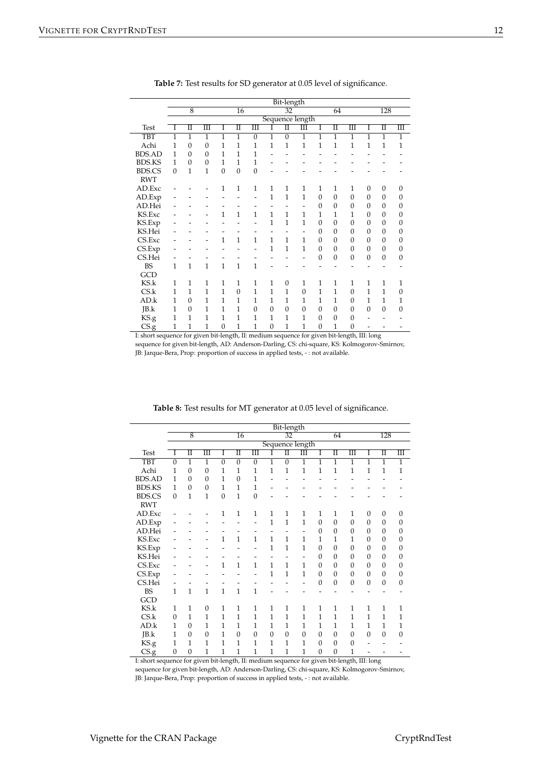|                                                |                |                                    |                      |                |                  |                |                | Bit-length           |                      |                  |                |                      |                  |                     |                      |
|------------------------------------------------|----------------|------------------------------------|----------------------|----------------|------------------|----------------|----------------|----------------------|----------------------|------------------|----------------|----------------------|------------------|---------------------|----------------------|
|                                                |                | $\overline{8}$                     |                      |                | $\overline{16}$  |                |                | $\overline{32}$      |                      |                  | 64             |                      |                  | 128                 |                      |
|                                                |                |                                    |                      |                |                  |                |                |                      | Sequence length      |                  |                |                      |                  |                     |                      |
| <b>Test</b>                                    | I              | $\overline{\rm{I\hspace{-.1em}I}}$ | $\overline{\rm III}$ | 1              | П                | Ш              |                | $\overline{\rm{II}}$ | $\overline{\rm III}$ | Ī                | Π              | $\overline{\rm III}$ | Ι                | $\overline{\rm II}$ | $\overline{\rm III}$ |
| <b>TBT</b>                                     | $\overline{1}$ | $\overline{1}$                     | $\overline{1}$       | $\overline{1}$ | $\overline{1}$   | $\overline{0}$ | $\overline{1}$ | $\overline{0}$       | $\overline{1}$       | $\overline{1}$   | $\overline{1}$ | 1                    | $\overline{1}$   | $\overline{1}$      | $\overline{1}$       |
| Achi                                           | 1              | $\overline{0}$                     | $\mathbf{0}$         | $\overline{1}$ | $\overline{1}$   | 1              | $\overline{1}$ | 1                    | $\mathbf 1$          | $\mathbf{1}$     | $\overline{1}$ | $\overline{1}$       | $\mathbf{1}$     | 1                   | $\mathbf{1}$         |
| <b>BDS.AD</b>                                  | 1              | $\overline{0}$                     | $\overline{0}$       | 1              | $\overline{1}$   | $\overline{1}$ |                |                      |                      |                  |                |                      |                  |                     |                      |
| <b>BDS.KS</b>                                  | 1              | $\overline{0}$                     | $\overline{0}$       | 1              | 1                | 1              |                |                      |                      |                  |                |                      |                  |                     |                      |
| <b>BDS.CS</b>                                  | $\mathbf{0}$   | $\overline{1}$                     | $\overline{1}$       | $\mathbf{0}$   | $\boldsymbol{0}$ | $\overline{0}$ |                |                      |                      |                  |                |                      |                  |                     |                      |
| <b>RWT</b>                                     |                |                                    |                      |                |                  |                |                |                      |                      |                  |                |                      |                  |                     |                      |
| AD.Exc                                         |                |                                    |                      | 1              | 1                | $\mathbf{1}$   | $\mathbf{1}$   | 1                    | $\mathbf{1}$         | $\mathbf{1}$     | $\mathbf{1}$   | 1                    | $\overline{0}$   | $\mathbf{0}$        | $\mathbf{0}$         |
| AD.Exp                                         |                |                                    |                      |                |                  |                | $\mathbf{1}$   | $\mathbf{1}$         | $\overline{1}$       | $\boldsymbol{0}$ | $\mathbf{0}$   | $\overline{0}$       | $\mathbf{0}$     | $\mathbf{0}$        | $\boldsymbol{0}$     |
| AD.Hei                                         |                |                                    |                      |                |                  |                |                |                      |                      | $\overline{0}$   | $\Omega$       | $\mathbf{0}$         | $\boldsymbol{0}$ | $\boldsymbol{0}$    | $\overline{0}$       |
| KS.Exc                                         |                |                                    |                      | $\mathbf{1}$   | $\overline{1}$   | $\mathbf{1}$   | $\mathbf{1}$   | 1                    | 1                    | 1                | 1              | 1                    | $\mathbf{0}$     | $\theta$            | $\overline{0}$       |
| KS.Exp                                         |                |                                    |                      |                |                  |                | $\mathbf{1}$   | $\mathbf{1}$         | 1                    | $\mathbf{0}$     | $\overline{0}$ | $\overline{0}$       | $\mathbf{0}$     | $\boldsymbol{0}$    | $\mathbf{0}$         |
| KS.Hei                                         |                |                                    |                      |                |                  |                |                |                      |                      | $\overline{0}$   | $\overline{0}$ | $\mathbf{0}$         | $\boldsymbol{0}$ | $\boldsymbol{0}$    | $\mathbf{0}$         |
| CS.Exc                                         |                |                                    |                      | $\mathbf{1}$   | $\overline{1}$   | $\mathbf{1}$   | $\overline{1}$ | 1                    | 1                    | $\boldsymbol{0}$ | $\overline{0}$ | $\theta$             | $\mathbf{0}$     | $\boldsymbol{0}$    | $\overline{0}$       |
|                                                |                |                                    |                      |                |                  |                | $\mathbf{1}$   | $\mathbf{1}$         | 1                    | $\boldsymbol{0}$ | $\overline{0}$ | $\mathbf{0}$         | $\boldsymbol{0}$ | $\boldsymbol{0}$    | $\mathbf{0}$         |
| CS.Hei                                         |                |                                    |                      |                |                  |                |                |                      |                      | $\mathbf{0}$     | $\overline{0}$ | $\overline{0}$       | $\mathbf{0}$     | $\mathbf{0}$        | $\mathbf{0}$         |
| <b>BS</b>                                      | 1              | $\mathbf{1}$                       | $\overline{1}$       | $\mathbf{1}$   | $\mathbf{1}$     | $\mathbf{1}$   |                |                      |                      |                  |                |                      |                  |                     |                      |
| GCD                                            |                |                                    |                      |                |                  |                |                |                      |                      |                  |                |                      |                  |                     |                      |
| KS.k                                           | $\mathbf{1}$   | $\mathbf{1}$                       | 1                    | $\mathbf{1}$   | 1                | $\mathbf{1}$   | $\mathbf{1}$   | $\boldsymbol{0}$     | $\mathbf{1}$         | $\mathbf{1}$     | $\mathbf{1}$   | $\mathbf{1}$         | $\mathbf{1}$     | $\mathbf{1}$        | $\mathbf{1}$         |
| CS.k                                           | 1              | 1                                  | $\overline{1}$       | $\mathbf{1}$   | $\overline{0}$   | 1              | 1              | 1                    | $\overline{0}$       | 1                | 1              | $\theta$             | $\overline{1}$   | $\mathbf{1}$        | $\overline{0}$       |
| AD.k                                           | 1              | $\overline{0}$                     | $\overline{1}$       | 1              | $\overline{1}$   | $\mathbf{1}$   | $\mathbf{1}$   | 1                    | 1                    | 1                | 1              | $\overline{0}$       | 1                | $\mathbf{1}$        | $\mathbf{1}$         |
| JB.k                                           | 1              | $\overline{0}$                     | 1                    | 1              | 1                | $\overline{0}$ | $\overline{0}$ | $\mathbf{0}$         | $\boldsymbol{0}$     | $\mathbf{0}$     | $\overline{0}$ | $\mathbf{0}$         | $\mathbf{0}$     | $\boldsymbol{0}$    | $\overline{0}$       |
|                                                | 1              | $\overline{1}$                     | 1                    | $\mathbf{1}$   | 1                | 1              | 1              | $\mathbf{1}$         | 1                    | $\overline{0}$   | $\overline{0}$ | $\mathbf{0}$         |                  |                     |                      |
|                                                | 1              | $\mathbf{1}$                       | $\mathbf{1}$         | $\mathbf{0}$   | $\mathbf 1$      | $\mathbf{1}$   | $\mathbf{0}$   | $\mathbf{1}$         | $\mathbf 1$          | $\mathbf{0}$     | 1              | 0                    |                  |                     |                      |
| CS.Exp<br>KS.g<br>$CS_{.}g$<br>$T = -1$ , $-1$ |                | c                                  | advance to the fire  |                | (1,<br>TT.       | $-11$          |                |                      | $\epsilon$ .         |                  | 1.36.1.        | (1,                  | TTT. 1.          |                     |                      |

**Table 7:** Test results for SD generator at 0.05 level of significance.

I: short sequence for given bit-length, II: medium sequence for given bit-length, III: long sequence for given bit-length, AD: Anderson-Darling, CS: chi-square, KS: Kolmogorov-Smirnov, JB: Jarque-Bera, Prop: proportion of success in applied tests, - : not available.

|               | Bit-length     |                |                  |                |                  |                      |              |                 |                 |                |                  |                      |                |                     |                         |
|---------------|----------------|----------------|------------------|----------------|------------------|----------------------|--------------|-----------------|-----------------|----------------|------------------|----------------------|----------------|---------------------|-------------------------|
|               |                | $\overline{8}$ |                  |                | $\overline{16}$  |                      |              | $\overline{32}$ |                 |                | 64               |                      |                | 128                 |                         |
|               |                |                |                  |                |                  |                      |              |                 | Sequence length |                |                  |                      |                |                     |                         |
| Test          | Ī              | Π              | Ш                | I              | П                | $\overline{\rm III}$ |              | Π               | Ш               | I              | Π                | $\overline{\rm III}$ | T              | $\overline{\rm II}$ | $\overline{\mathbf{H}}$ |
| <b>TBT</b>    | $\theta$       | $\mathbf{1}$   | 1                | $\overline{0}$ | $\overline{0}$   | $\overline{0}$       | 1            | $\mathbf{0}$    | 1               | 1              | 1                | 1                    | 1              | 1                   | $\overline{1}$          |
| Achi          | $\mathbf{1}$   | $\overline{0}$ | $\mathbf{0}$     | $\overline{1}$ | $\overline{1}$   | 1                    | $\mathbf{1}$ | 1               | 1               | $\mathbf{1}$   | $\mathbf{1}$     | 1                    | $\overline{1}$ | $\overline{1}$      | $\mathbf{1}$            |
| <b>BDS.AD</b> | 1              | $\overline{0}$ | $\overline{0}$   | 1              | $\boldsymbol{0}$ | 1                    |              |                 |                 |                |                  |                      |                |                     |                         |
| <b>BDS.KS</b> | 1              | $\overline{0}$ | $\boldsymbol{0}$ | 1              | 1                | 1                    |              |                 |                 |                |                  |                      |                |                     |                         |
| <b>BDS.CS</b> | $\Omega$       | 1              | $\overline{1}$   | $\overline{0}$ | $\overline{1}$   | $\overline{0}$       |              |                 |                 |                |                  |                      |                |                     |                         |
| <b>RWT</b>    |                |                |                  |                |                  |                      |              |                 |                 |                |                  |                      |                |                     |                         |
| AD.Exc        |                |                |                  | 1              | 1                | $\mathbf{1}$         | 1            | 1               | 1               | 1              | 1                | 1                    | $\mathbf{0}$   | $\theta$            | $\boldsymbol{0}$        |
| AD.Exp        |                |                |                  |                |                  |                      | $\mathbf{1}$ | 1               | $\overline{1}$  | $\mathbf{0}$   | $\mathbf{0}$     | $\overline{0}$       | $\theta$       | $\mathbf{0}$        | $\mathbf{0}$            |
| AD.Hei        |                |                |                  |                |                  |                      |              |                 | ۰               | $\overline{0}$ | $\theta$         | $\mathbf{0}$         | $\theta$       | $\theta$            | 0                       |
| KS.Exc        |                |                |                  | $\mathbf{1}$   | $\mathbf{1}$     | $\mathbf{1}$         | $\mathbf{1}$ | 1               | 1               | 1              | 1                | $\mathbf{1}$         | $\theta$       | $\mathbf{0}$        | $\mathbf{0}$            |
| KS.Exp        |                |                |                  |                |                  |                      | 1            | 1               | 1               | $\overline{0}$ | $\overline{0}$   | $\mathbf{0}$         | $\theta$       | $\mathbf{0}$        | 0                       |
| KS.Hei        |                |                |                  |                |                  |                      |              |                 |                 | $\mathbf{0}$   | $\boldsymbol{0}$ | $\mathbf{0}$         | $\theta$       | $\theta$            | 0                       |
| CS.Exc        |                |                | -                | $\mathbf{1}$   | 1                | $\mathbf{1}$         | 1            | 1               | 1               | $\mathbf{0}$   | $\theta$         | $\mathbf{0}$         | $\theta$       | $\mathbf{0}$        | $\boldsymbol{0}$        |
| CS.Exp        |                |                |                  |                |                  |                      | 1            | 1               | 1               | $\overline{0}$ | $\boldsymbol{0}$ | $\mathbf{0}$         | $\theta$       | $\mathbf{0}$        | $\boldsymbol{0}$        |
| CS.Hei        |                |                |                  |                |                  |                      |              |                 |                 | $\mathbf{0}$   | $\mathbf{0}$     | $\overline{0}$       | $\overline{0}$ | $\overline{0}$      | $\mathbf{0}$            |
| <b>BS</b>     | 1              | $\mathbf{1}$   | $\mathbf{1}$     | $\mathbf{1}$   | $\overline{1}$   | $\overline{1}$       |              |                 |                 |                |                  |                      |                |                     |                         |
| GCD           |                |                |                  |                |                  |                      |              |                 |                 |                |                  |                      |                |                     |                         |
| KS.k          | $\mathbf{1}$   | $\mathbf{1}$   | $\mathbf{0}$     | 1              | 1                | 1                    | 1            | 1               | 1               | 1              | 1                | 1                    | 1              | $\mathbf{1}$        | 1                       |
| CS.k          | $\overline{0}$ | 1              | $\overline{1}$   | 1              | $\overline{1}$   | $\overline{1}$       | $\mathbf{1}$ | $\overline{1}$  | $\overline{1}$  | $\overline{1}$ | $\mathbf{1}$     | 1                    | $\overline{1}$ | $\overline{1}$      | $\overline{1}$          |
| AD.k          | 1              | $\mathbf{0}$   | 1                | 1              | 1                | 1                    | 1            | 1               | 1               | 1              | 1                | 1                    | 1              | 1                   | 1                       |
| JB.k          | 1              | $\overline{0}$ | $\mathbf{0}$     | 1              | $\overline{0}$   | $\overline{0}$       | $\Omega$     | $\overline{0}$  | $\mathbf{0}$    | $\mathbf{0}$   | $\overline{0}$   | $\overline{0}$       | $\overline{0}$ | $\overline{0}$      | $\overline{0}$          |
| KS.g          | 1              | 1              | $\mathbf{1}$     | 1              | 1                | 1                    | $\mathbf{1}$ | 1               | 1               | $\mathbf{0}$   | $\boldsymbol{0}$ | $\theta$             |                |                     |                         |
| CS.g          | $\overline{0}$ | $\overline{0}$ | 1                | 1              | $\mathbf{1}$     | 1                    | 1            | 1               | 1               | $\mathbf{0}$   | $\mathbf{0}$     | 1                    |                |                     |                         |

**Table 8:** Test results for MT generator at 0.05 level of significance.

I: short sequence for given bit-length, II: medium sequence for given bit-length, III: long

sequence for given bit-length, AD: Anderson-Darling, CS: chi-square, KS: Kolmogorov-Smirnov,

JB: Jarque-Bera, Prop: proportion of success in applied tests, - : not available.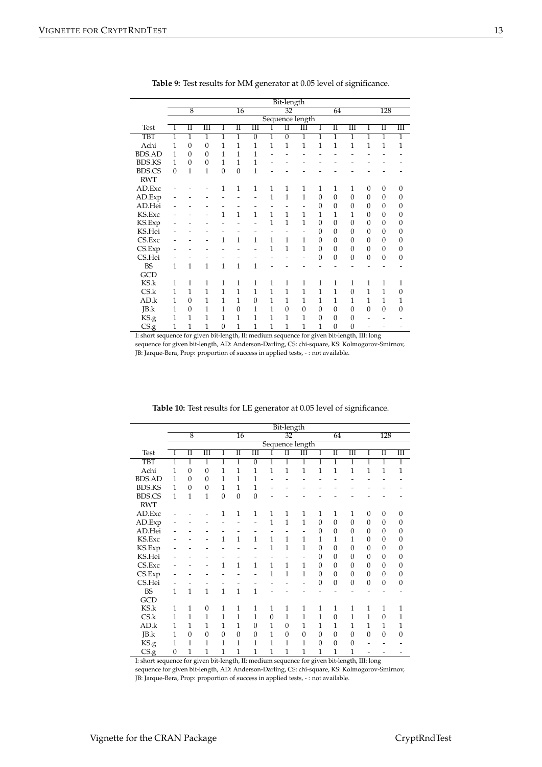|               |                |                                    |                         |                |                 |                |                | Bit-length           |                      |                  |                |                  |                  |                     |                      |
|---------------|----------------|------------------------------------|-------------------------|----------------|-----------------|----------------|----------------|----------------------|----------------------|------------------|----------------|------------------|------------------|---------------------|----------------------|
|               |                | $\overline{8}$                     |                         |                | $\overline{16}$ |                |                | $\overline{32}$      |                      |                  | 64             |                  |                  | 128                 |                      |
|               |                |                                    |                         |                |                 |                |                |                      | Sequence length      |                  |                |                  |                  |                     |                      |
| <b>Test</b>   | Ι              | $\overline{\rm{I\hspace{-.1em}I}}$ | $\overline{\mathbb{H}}$ | I              | П               | Ш              | I              | $\overline{\rm{II}}$ | $\overline{\rm III}$ | I                | Π              | Ш                | I                | $\overline{\rm II}$ | $\overline{\rm III}$ |
| <b>TBT</b>    | $\overline{1}$ | $\overline{1}$                     | $\overline{1}$          | $\overline{1}$ | $\overline{1}$  | $\overline{0}$ | $\overline{1}$ | $\overline{0}$       | $\overline{1}$       | $\overline{1}$   | $\overline{1}$ | 1                | $\overline{1}$   | $\overline{1}$      | $\overline{1}$       |
| Achi          | $\overline{1}$ | $\mathbf{0}$                       | $\mathbf{0}$            | $\overline{1}$ | $\overline{1}$  | 1              | $\mathbf{1}$   | $\mathbf 1$          | $\mathbf{1}$         | $\mathbf{1}$     | $\overline{1}$ | $\mathbf 1$      | $\mathbf{1}$     | $\mathbf{1}$        | $\mathbf{1}$         |
| <b>BDS.AD</b> | $\mathbf{1}$   | $\overline{0}$                     | $\mathbf{0}$            | $\mathbf{1}$   | $\overline{1}$  | $\overline{1}$ |                |                      |                      |                  |                |                  |                  |                     |                      |
| <b>BDS.KS</b> | 1              | $\overline{0}$                     | $\boldsymbol{0}$        | 1              | 1               | 1              |                |                      |                      |                  |                |                  |                  |                     |                      |
| <b>BDS.CS</b> | $\overline{0}$ | $\mathbf{1}$                       | $\overline{1}$          | $\mathbf{0}$   | $\mathbf{0}$    | $\mathbf{1}$   |                |                      |                      |                  |                |                  |                  |                     |                      |
| <b>RWT</b>    |                |                                    |                         |                |                 |                |                |                      |                      |                  |                |                  |                  |                     |                      |
| AD.Exc        |                |                                    |                         | 1              | $\mathbf{1}$    | $\mathbf{1}$   | $\mathbf{1}$   | 1                    | $\mathbf{1}$         | $\mathbf{1}$     | $\mathbf{1}$   | 1                | $\overline{0}$   | $\boldsymbol{0}$    | $\mathbf{0}$         |
| AD.Exp        |                |                                    |                         |                |                 |                | $\mathbf{1}$   | $\mathbf{1}$         | $\mathbf{1}$         | $\boldsymbol{0}$ | $\overline{0}$ | $\overline{0}$   | $\mathbf{0}$     | $\mathbf{0}$        | $\boldsymbol{0}$     |
| AD.Hei        |                |                                    |                         |                |                 |                |                |                      |                      | $\overline{0}$   | $\overline{0}$ | $\mathbf{0}$     | $\boldsymbol{0}$ | $\boldsymbol{0}$    | $\overline{0}$       |
| KS.Exc        |                |                                    |                         | $\mathbf{1}$   | $\overline{1}$  | $\mathbf{1}$   | $\mathbf{1}$   | 1                    | 1                    | 1                | 1              | 1                | $\mathbf{0}$     | $\theta$            | $\overline{0}$       |
| KS.Exp        |                |                                    |                         |                |                 |                | $\mathbf{1}$   | $\mathbf{1}$         | 1                    | $\mathbf{0}$     | $\overline{0}$ | $\mathbf{0}$     | $\boldsymbol{0}$ | $\boldsymbol{0}$    | $\mathbf{0}$         |
| KS.Hei        |                |                                    |                         |                |                 |                |                |                      |                      | $\overline{0}$   | $\overline{0}$ | $\mathbf{0}$     | $\overline{0}$   | $\mathbf{0}$        | $\boldsymbol{0}$     |
| CS.Exc        |                |                                    |                         | $\mathbf{1}$   | 1               | $\overline{1}$ | $\overline{1}$ | 1                    | 1                    | $\boldsymbol{0}$ | $\Omega$       | $\theta$         | $\mathbf{0}$     | $\boldsymbol{0}$    | $\boldsymbol{0}$     |
| CS.Exp        |                |                                    |                         |                |                 |                | $\mathbf{1}$   | $\overline{1}$       | 1                    | $\overline{0}$   | $\overline{0}$ | $\mathbf{0}$     | $\overline{0}$   | $\mathbf{0}$        | $\mathbf{0}$         |
| CS.Hei        |                |                                    |                         |                |                 |                |                |                      |                      | $\mathbf{0}$     | $\mathbf{0}$   | $\overline{0}$   | $\mathbf{0}$     | $\mathbf{0}$        | $\mathbf{0}$         |
| <b>BS</b>     | 1              | $\mathbf{1}$                       | $\mathbf{1}$            | $\overline{1}$ | $\overline{1}$  | $\mathbf{1}$   |                |                      |                      |                  |                |                  |                  |                     |                      |
| GCD           |                |                                    |                         |                |                 |                |                |                      |                      |                  |                |                  |                  |                     |                      |
| KS.k          | $\mathbf{1}$   | $\mathbf{1}$                       | 1                       | $\mathbf{1}$   | 1               | $\mathbf{1}$   | $\mathbf{1}$   | 1                    | $\mathbf{1}$         | $\mathbf{1}$     | $\mathbf{1}$   | $\mathbf{1}$     | $\mathbf{1}$     | $\mathbf{1}$        | $\mathbf{1}$         |
| CS.k          | 1              | 1                                  | $\overline{1}$          | $\overline{1}$ | $\overline{1}$  | $\mathbf{1}$   | $\overline{1}$ | $\overline{1}$       | $\overline{1}$       | 1                | 1              | $\overline{0}$   | $\overline{1}$   | 1                   | $\overline{0}$       |
| AD.k          | 1              | $\overline{0}$                     | 1                       | 1              | 1               | $\overline{0}$ | 1              | 1                    | 1                    | 1                | 1              | 1                | 1                | 1                   | $\mathbf{1}$         |
| JB.k          | 1              | $\overline{0}$                     | 1                       | $\mathbf{1}$   | $\overline{0}$  | 1              | $\mathbf{1}$   | $\overline{0}$       | $\overline{0}$       | $\overline{0}$   | $\overline{0}$ | $\overline{0}$   | $\mathbf{0}$     | $\mathbf{0}$        | $\mathbf{0}$         |
| KS.g          | 1              | $\mathbf{1}$                       | 1                       | $\mathbf{1}$   | 1               | 1              | 1              | $\mathbf{1}$         | 1                    | $\mathbf{0}$     | $\mathbf{0}$   | $\mathbf{0}$     |                  |                     |                      |
| CS.g          | 1              | $\mathbf{1}$                       | $\overline{1}$          | $\overline{0}$ | $\overline{1}$  | $\overline{1}$ | $\mathbf{1}$   | 1                    | $\mathbf 1$          | 1                | $\mathbf{0}$   | $\boldsymbol{0}$ |                  |                     |                      |

**Table 9:** Test results for MM generator at 0.05 level of significance.

I: short sequence for given bit-length, II: medium sequence for given bit-length, III: long sequence for given bit-length, AD: Anderson-Darling, CS: chi-square, KS: Kolmogorov-Smirnov, JB: Jarque-Bera, Prop: proportion of success in applied tests, - : not available.

|               | Bit-length     |                |                       |                |                     |                         |                |                 |                 |                |                     |                      |                  |                  |                      |
|---------------|----------------|----------------|-----------------------|----------------|---------------------|-------------------------|----------------|-----------------|-----------------|----------------|---------------------|----------------------|------------------|------------------|----------------------|
|               |                | $\overline{8}$ |                       |                | $\overline{16}$     |                         |                | $\overline{32}$ |                 |                | 64                  |                      |                  | 128              |                      |
|               |                |                |                       |                |                     |                         |                |                 | Sequence length |                |                     |                      |                  |                  |                      |
| Test          | Ī              | Π              | $\overline{\rm{III}}$ | Ī              | $\overline{\rm II}$ | $\overline{\mathbb{H}}$ | Ī              | Π               | Ш               | Ī              | $\overline{\rm II}$ | $\overline{\rm III}$ | Ī                | Π                | $\overline{\rm III}$ |
| <b>TBT</b>    | $\overline{1}$ | $\overline{1}$ | $\overline{1}$        | $\overline{1}$ | $\overline{1}$      | $\overline{0}$          | $\overline{1}$ | $\overline{1}$  | $\overline{1}$  | $\overline{1}$ | $\overline{1}$      | $\overline{1}$       | $\overline{1}$   | $\overline{1}$   | $\overline{1}$       |
| Achi          | 1              | $\overline{0}$ | $\mathbf{0}$          | 1              | $\overline{1}$      | $\mathbf{1}$            | $\overline{1}$ | $\mathbf{1}$    | $\mathbf 1$     | $\overline{1}$ | $\overline{1}$      | $\overline{1}$       | $\overline{1}$   | $\overline{1}$   | $\mathbf{1}$         |
| <b>BDS.AD</b> | 1              | $\overline{0}$ | $\overline{0}$        | 1              | $\overline{1}$      | $\overline{1}$          |                |                 |                 |                |                     |                      |                  |                  |                      |
| <b>BDS.KS</b> | 1              | $\overline{0}$ | $\mathbf{0}$          | 1              | 1                   | $\mathbf{1}$            |                |                 |                 |                |                     |                      |                  |                  |                      |
| <b>BDS.CS</b> | $\mathbf{1}$   | $\overline{1}$ | $\mathbf{1}$          | $\overline{0}$ | $\overline{0}$      | $\overline{0}$          |                |                 |                 |                |                     |                      |                  |                  |                      |
| <b>RWT</b>    |                |                |                       |                |                     |                         |                |                 |                 |                |                     |                      |                  |                  |                      |
| AD.Exc        |                |                |                       | $\mathbf{1}$   | $\mathbf{1}$        | 1                       | 1              | 1               | 1               | $\mathbf{1}$   | 1                   | 1                    | $\boldsymbol{0}$ | $\boldsymbol{0}$ | 0                    |
| AD.Exp        |                |                |                       |                |                     |                         | $\overline{1}$ | $\overline{1}$  | $\overline{1}$  | $\overline{0}$ | $\overline{0}$      | $\boldsymbol{0}$     | $\boldsymbol{0}$ | $\mathbf{0}$     | 0                    |
| AD.Hei        |                |                |                       |                |                     |                         |                |                 |                 | $\Omega$       | $\Omega$            | $\mathbf{0}$         | $\mathbf{0}$     | $\mathbf{0}$     | 0                    |
| KS.Exc        |                |                |                       | $\mathbf{1}$   | $\mathbf{1}$        | $\mathbf{1}$            | $\mathbf{1}$   | 1               | 1               | 1              | 1                   | 1                    | $\overline{0}$   | $\mathbf{0}$     | $\mathbf{0}$         |
| KS.Exp        |                |                |                       |                |                     |                         | 1              | $\overline{1}$  | 1               | $\overline{0}$ | $\Omega$            | $\mathbf{0}$         | $\boldsymbol{0}$ | $\mathbf{0}$     | 0                    |
| KS.Hei        |                |                |                       |                |                     |                         |                |                 |                 | $\Omega$       | $\Omega$            | $\mathbf{0}$         | $\boldsymbol{0}$ | $\mathbf{0}$     | 0                    |
| CS.Exc        |                |                | -                     | $\mathbf{1}$   | $\mathbf{1}$        | $\mathbf{1}$            | 1              | 1               | 1               | $\Omega$       | $\Omega$            | $\overline{0}$       | $\mathbf{0}$     | $\mathbf{0}$     | $\mathbf{0}$         |
| CS.Exp        |                |                |                       |                |                     |                         | $\mathbf{1}$   | $\mathbf{1}$    | 1               | $\overline{0}$ | $\Omega$            | $\mathbf{0}$         | $\theta$         | $\mathbf{0}$     | $\overline{0}$       |
| CS.Hei        |                |                |                       |                |                     |                         |                |                 |                 | $\overline{0}$ | $\theta$            | $\mathbf{0}$         | $\boldsymbol{0}$ | $\mathbf{0}$     | 0                    |
| <b>BS</b>     | 1              | $\mathbf{1}$   | $\mathbf{1}$          | $\mathbf{1}$   | $\overline{1}$      | $\mathbf{1}$            |                |                 |                 |                |                     |                      |                  |                  |                      |
| GCD           |                |                |                       |                |                     |                         |                |                 |                 |                |                     |                      |                  |                  |                      |
| KS.k          | 1              | 1              | $\overline{0}$        | $\mathbf{1}$   | $\mathbf{1}$        | 1                       | 1              | 1               | 1               | $\mathbf{1}$   | $\mathbf{1}$        | 1                    | 1                | 1                | 1                    |
| CS.k          | 1              | 1              | 1                     | 1              | $\mathbf{1}$        | $\mathbf{1}$            | $\overline{0}$ | 1               | 1               | 1              | $\overline{0}$      | 1                    | 1                | $\overline{0}$   | 1                    |
| AD.k          | 1              | 1              | 1                     | 1              | 1                   | $\Omega$                | 1              | $\mathbf{0}$    | 1               | 1              | 1                   | 1                    | 1                | 1                | 1                    |
| JB.k          | 1              | $\overline{0}$ | $\overline{0}$        | $\overline{0}$ | $\overline{0}$      | $\overline{0}$          | $\mathbf{1}$   | $\mathbf{0}$    | $\overline{0}$  | $\overline{0}$ | $\theta$            | $\overline{0}$       | $\overline{0}$   | $\mathbf{0}$     | $\overline{0}$       |
| KS.g          | 1              | 1              | 1                     | 1              | 1                   | 1                       | $\mathbf{1}$   | 1               | 1               | $\overline{0}$ | $\theta$            | $\boldsymbol{0}$     |                  |                  |                      |
| CS.g          | $\overline{0}$ | $\overline{1}$ | $\mathbf{1}$          | $\overline{1}$ | $\overline{1}$      | $\overline{1}$          | $\mathbf{1}$   | $\overline{1}$  | 1               | 1              | 1                   | $\overline{1}$       |                  |                  |                      |

**Table 10:** Test results for LE generator at 0.05 level of significance.

I: short sequence for given bit-length, II: medium sequence for given bit-length, III: long

sequence for given bit-length, AD: Anderson-Darling, CS: chi-square, KS: Kolmogorov-Smirnov,

JB: Jarque-Bera, Prop: proportion of success in applied tests, - : not available.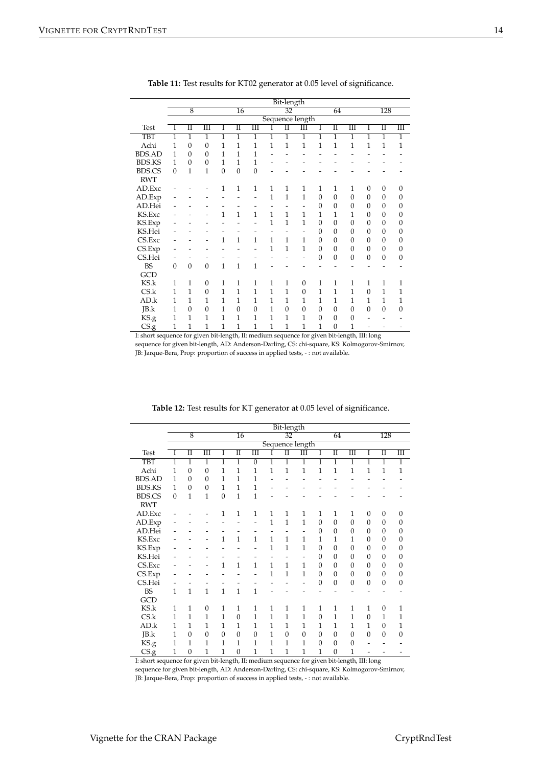|                                      |                |                                    |                      |                |                 |                |                | Bit-length           |                      |                  |                |                      |                  |                     |                      |
|--------------------------------------|----------------|------------------------------------|----------------------|----------------|-----------------|----------------|----------------|----------------------|----------------------|------------------|----------------|----------------------|------------------|---------------------|----------------------|
|                                      |                | $\overline{8}$                     |                      |                | $\overline{16}$ |                |                | $\overline{32}$      |                      |                  | 64             |                      |                  | 128                 |                      |
|                                      |                |                                    |                      |                |                 |                |                |                      | Sequence length      |                  |                |                      |                  |                     |                      |
| <b>Test</b>                          | I              | $\overline{\rm{I\hspace{-.1em}I}}$ | $\overline{\rm III}$ | 1              | П               | Ш              |                | $\overline{\rm{II}}$ | $\overline{\rm III}$ | Ī                | Π              | $\overline{\rm III}$ | Ι                | $\overline{\rm II}$ | $\overline{\rm III}$ |
| <b>TBT</b>                           | $\overline{1}$ | $\overline{1}$                     | $\overline{1}$       | $\overline{1}$ | $\overline{1}$  | $\overline{1}$ | $\overline{1}$ | $\overline{1}$       | $\overline{1}$       | $\overline{1}$   | $\overline{1}$ | 1                    | $\overline{1}$   | $\overline{1}$      | $\overline{1}$       |
| Achi                                 | 1              | $\overline{0}$                     | $\mathbf{0}$         | $\overline{1}$ | $\overline{1}$  | $\overline{1}$ | $\overline{1}$ | $\mathbf{1}$         | $\mathbf 1$          | $\mathbf{1}$     | $\overline{1}$ | $\mathbf{1}$         | $\mathbf{1}$     | 1                   | $\mathbf{1}$         |
| <b>BDS.AD</b>                        | 1              | $\overline{0}$                     | $\mathbf{0}$         | $\mathbf{1}$   | $\overline{1}$  | $\overline{1}$ |                |                      |                      |                  |                |                      |                  |                     |                      |
| <b>BDS.KS</b>                        | 1              | $\overline{0}$                     | $\overline{0}$       | 1              | 1               | 1              |                |                      |                      |                  |                |                      |                  |                     |                      |
| <b>BDS.CS</b>                        | $\overline{0}$ | $\mathbf{1}$                       | $\overline{1}$       | $\mathbf{0}$   | $\mathbf{0}$    | $\overline{0}$ |                |                      |                      |                  |                |                      |                  |                     |                      |
| <b>RWT</b>                           |                |                                    |                      |                |                 |                |                |                      |                      |                  |                |                      |                  |                     |                      |
| AD.Exc                               |                |                                    |                      | 1              | 1               | $\mathbf{1}$   | $\mathbf{1}$   | 1                    | $\mathbf{1}$         | $\mathbf{1}$     | $\mathbf{1}$   | 1                    | $\overline{0}$   | $\overline{0}$      | $\mathbf{0}$         |
| AD.Exp                               |                |                                    |                      |                |                 |                | $\mathbf{1}$   | $\mathbf{1}$         | $\overline{1}$       | $\boldsymbol{0}$ | $\overline{0}$ | $\overline{0}$       | $\mathbf{0}$     | $\mathbf{0}$        | $\boldsymbol{0}$     |
| AD.Hei                               |                |                                    |                      |                |                 |                |                |                      |                      | $\overline{0}$   | $\Omega$       | $\mathbf{0}$         | $\boldsymbol{0}$ | $\boldsymbol{0}$    | $\overline{0}$       |
| KS.Exc                               |                |                                    |                      | $\mathbf{1}$   | $\overline{1}$  | $\mathbf{1}$   | $\mathbf{1}$   | 1                    | 1                    | 1                | 1              | 1                    | $\mathbf{0}$     | $\theta$            | $\overline{0}$       |
| KS.Exp                               |                |                                    |                      |                |                 |                | $\mathbf{1}$   | $\mathbf{1}$         | $\overline{1}$       | $\mathbf{0}$     | $\overline{0}$ | $\overline{0}$       | $\mathbf{0}$     | $\boldsymbol{0}$    | $\mathbf{0}$         |
| KS.Hei                               |                |                                    |                      |                |                 |                |                |                      |                      | $\overline{0}$   | $\overline{0}$ | $\mathbf{0}$         | $\boldsymbol{0}$ | $\boldsymbol{0}$    | $\mathbf{0}$         |
| CS.Exc                               |                |                                    |                      | $\mathbf{1}$   | $\overline{1}$  | $\mathbf{1}$   | $\overline{1}$ | 1                    | 1                    | $\boldsymbol{0}$ | $\overline{0}$ | $\theta$             | $\mathbf{0}$     | $\boldsymbol{0}$    | $\overline{0}$       |
| CS.Exp                               |                |                                    |                      |                |                 |                | $\mathbf{1}$   | $\mathbf{1}$         | 1                    | $\boldsymbol{0}$ | $\overline{0}$ | $\mathbf{0}$         | $\boldsymbol{0}$ | $\boldsymbol{0}$    | $\mathbf{0}$         |
| CS.Hei                               |                |                                    |                      |                |                 |                |                |                      |                      | $\mathbf{0}$     | $\overline{0}$ | $\overline{0}$       | $\mathbf{0}$     | $\mathbf{0}$        | $\mathbf{0}$         |
| <b>BS</b>                            | $\overline{0}$ | $\overline{0}$                     | $\boldsymbol{0}$     | $\mathbf{1}$   | $\mathbf 1$     | $\mathbf{1}$   |                |                      |                      |                  |                |                      |                  |                     |                      |
| GCD                                  |                |                                    |                      |                |                 |                |                |                      |                      |                  |                |                      |                  |                     |                      |
| KS.k                                 | $\mathbf{1}$   | $\mathbf{1}$                       | $\boldsymbol{0}$     | $\mathbf{1}$   | 1               | $\mathbf{1}$   | $\mathbf{1}$   | $\mathbf{1}$         | $\boldsymbol{0}$     | $\mathbf{1}$     | $\mathbf{1}$   | $\mathbf{1}$         | $\mathbf{1}$     | $\mathbf{1}$        | $\mathbf{1}$         |
| CS.k                                 | 1              | 1                                  | $\overline{0}$       | $\overline{1}$ | $\overline{1}$  | 1              | 1              | 1                    | $\overline{0}$       | 1                | 1              | 1                    | $\overline{0}$   | 1                   | $\overline{1}$       |
| AD.k                                 | 1              | 1                                  | $\overline{1}$       | 1              | $\overline{1}$  | $\mathbf{1}$   | $\mathbf{1}$   | 1                    | 1                    | 1                | 1              | 1                    | 1                | $\mathbf{1}$        | $\mathbf{1}$         |
| JB.k                                 | 1              | $\overline{0}$                     | $\mathbf{0}$         | 1              | $\mathbf{0}$    | $\overline{0}$ | 1              | $\mathbf{0}$         | $\boldsymbol{0}$     | $\boldsymbol{0}$ | $\mathbf{0}$   | $\mathbf{0}$         | $\mathbf{0}$     | $\boldsymbol{0}$    | $\overline{0}$       |
|                                      | 1              | 1                                  | 1                    | $\mathbf{1}$   | $\overline{1}$  | 1              | 1              | $\mathbf{1}$         | 1                    | $\overline{0}$   | $\overline{0}$ | $\mathbf{0}$         |                  |                     |                      |
|                                      | 1              | $\mathbf{1}$                       | 1                    | $\mathbf{1}$   | $\mathbf 1$     | $\mathbf{1}$   | $\mathbf{1}$   | $\mathbf{1}$         | $\mathbf 1$          | 1                | $\overline{0}$ | 1                    |                  |                     |                      |
| KS.g<br>$CS_{.}g$<br>$T = -1$ , $-1$ |                | $\epsilon$                         | advance to the fire  |                | (1,<br>TT.      | 1:             |                |                      | $\epsilon$           |                  | 1.36.1.        | (1,                  | TTT. 1.          |                     |                      |

**Table 11:** Test results for KT02 generator at 0.05 level of significance.

I: short sequence for given bit-length, II: medium sequence for given bit-length, III: long sequence for given bit-length, AD: Anderson-Darling, CS: chi-square, KS: Kolmogorov-Smirnov, JB: Jarque-Bera, Prop: proportion of success in applied tests, - : not available.

<span id="page-13-0"></span>

|               |                                   |                |                |                |                  | Bit-length            |              |                 |                  |                |                |                         |                |                     |                         |  |
|---------------|-----------------------------------|----------------|----------------|----------------|------------------|-----------------------|--------------|-----------------|------------------|----------------|----------------|-------------------------|----------------|---------------------|-------------------------|--|
|               | $\overline{8}$<br>$\overline{16}$ |                |                |                |                  |                       |              | $\overline{32}$ |                  |                |                | 128<br>64               |                |                     |                         |  |
|               | Sequence length                   |                |                |                |                  |                       |              |                 |                  |                |                |                         |                |                     |                         |  |
| <b>Test</b>   | Ī                                 | Π              | Ш              | I              | Π                | $\overline{\rm{III}}$ | Ī            | π               | Ш                | I              | Π              | $\overline{\mathbf{m}}$ | T              | $\overline{\rm II}$ | $\overline{\mathbf{m}}$ |  |
| <b>TBT</b>    | $\overline{1}$                    | $\mathbf{1}$   | $\overline{1}$ | $\overline{1}$ | $\overline{1}$   | $\overline{0}$        | 1            | 1               | $\overline{1}$   | $\overline{1}$ | $\overline{1}$ | 1                       | 1              | $\overline{1}$      | $\overline{1}$          |  |
| Achi          | 1                                 | $\mathbf{0}$   | $\mathbf{0}$   | 1              | $\overline{1}$   | 1                     | 1            | 1               | 1                | $\mathbf{1}$   | 1              | 1                       | 1              | 1                   | $\mathbf{1}$            |  |
| <b>BDS.AD</b> | 1                                 | $\overline{0}$ | $\overline{0}$ | 1              | $\overline{1}$   | $\mathbf{1}$          |              |                 |                  |                |                |                         |                |                     |                         |  |
| <b>BDS.KS</b> | 1                                 | $\overline{0}$ | $\mathbf{0}$   | 1              | 1                | 1                     |              |                 |                  |                |                |                         |                |                     |                         |  |
| <b>BDS.CS</b> | $\Omega$                          | $\mathbf{1}$   | $\overline{1}$ | $\overline{0}$ | $\overline{1}$   | $\overline{1}$        |              |                 |                  |                |                |                         |                |                     |                         |  |
| <b>RWT</b>    |                                   |                |                |                |                  |                       |              |                 |                  |                |                |                         |                |                     |                         |  |
| AD.Exc        |                                   |                |                | 1              | 1                | 1                     | 1            | 1               | 1                | $\mathbf{1}$   | 1              | $\mathbf{1}$            | $\mathbf{0}$   | 0                   | $\mathbf{0}$            |  |
| AD.Exp        |                                   |                |                |                |                  |                       | 1            | 1               | 1                | $\mathbf{0}$   | $\mathbf{0}$   | $\overline{0}$          | $\mathbf{0}$   | $\overline{0}$      | $\mathbf{0}$            |  |
| AD.Hei        |                                   |                |                |                |                  |                       |              |                 | -                | $\mathbf{0}$   | $\mathbf{0}$   | $\mathbf{0}$            | $\Omega$       | $\mathbf{0}$        | 0                       |  |
| KS.Exc        |                                   |                |                | 1              | $\overline{1}$   | $\mathbf{1}$          | 1            | 1               | 1                | 1              | 1              | 1                       | $\Omega$       | $\overline{0}$      | 0                       |  |
| KS.Exp        |                                   |                |                |                |                  |                       | 1            | 1               | $\overline{1}$   | $\overline{0}$ | $\overline{0}$ | $\overline{0}$          | $\mathbf{0}$   | $\overline{0}$      | $\mathbf{0}$            |  |
| KS.Hei        |                                   |                |                |                |                  |                       |              |                 |                  | $\mathbf{0}$   | $\mathbf{0}$   | $\mathbf{0}$            | $\mathbf{0}$   | $\overline{0}$      | 0                       |  |
| CS.Exc        |                                   |                | -              | $\overline{1}$ | $\overline{1}$   | $\mathbf{1}$          | $\mathbf{1}$ | 1               | 1                | $\mathbf{0}$   | $\mathbf{0}$   | $\overline{0}$          | $\mathbf{0}$   | $\overline{0}$      | $\overline{0}$          |  |
| CS.Exp        |                                   |                |                |                |                  |                       | 1            | 1               | 1                | $\mathbf{0}$   | $\mathbf{0}$   | $\mathbf{0}$            | $\mathbf{0}$   | $\overline{0}$      | $\boldsymbol{0}$        |  |
| CS.Hei        |                                   |                |                |                |                  |                       |              |                 |                  | $\mathbf{0}$   | $\theta$       | $\mathbf{0}$            | $\mathbf{0}$   | $\overline{0}$      | $\boldsymbol{0}$        |  |
| <b>BS</b>     | 1                                 | 1              | $\mathbf{1}$   | $\overline{1}$ | $\overline{1}$   | $\mathbf{1}$          |              |                 |                  |                |                |                         |                |                     |                         |  |
| GCD           |                                   |                |                |                |                  |                       |              |                 |                  |                |                |                         |                |                     |                         |  |
| KS.k          | 1                                 | 1              | $\mathbf{0}$   | 1              | 1                | 1                     | 1            | 1               | 1                | 1              | 1              | 1                       | 1              | $\mathbf{0}$        | 1                       |  |
| CS.k          | 1                                 | $\mathbf{1}$   | $\overline{1}$ | $\overline{1}$ | $\boldsymbol{0}$ | 1                     | 1            | 1               | $\overline{1}$   | $\mathbf{0}$   | $\mathbf{1}$   | 1                       | $\overline{0}$ | $\mathbf{1}$        | $\mathbf{1}$            |  |
| AD.k          | 1                                 | 1              | $\mathbf{1}$   | 1              | 1                | 1                     | 1            | 1               | 1                | 1              | 1              | 1                       | 1              | $\overline{0}$      | 1                       |  |
| JB.k          | 1                                 | $\overline{0}$ | $\mathbf{0}$   | $\mathbf{0}$   | $\boldsymbol{0}$ | $\overline{0}$        | 1            | $\overline{0}$  | $\boldsymbol{0}$ | $\mathbf{0}$   | $\overline{0}$ | $\overline{0}$          | $\overline{0}$ | $\overline{0}$      | $\overline{0}$          |  |
| KS.g          | 1                                 | $\mathbf{1}$   | $\mathbf{1}$   | 1              | 1                | 1                     | 1            | 1               | 1                | $\mathbf{0}$   | $\mathbf{0}$   | $\mathbf{0}$            |                |                     |                         |  |
| CS.g          | 1                                 | $\overline{0}$ | 1              | $\mathbf{1}$   | $\boldsymbol{0}$ | 1                     | 1            | 1               | 1                | 1              | $\mathbf{0}$   | 1                       |                |                     |                         |  |

**Table 12:** Test results for KT generator at 0.05 level of significance.

I: short sequence for given bit-length, II: medium sequence for given bit-length, III: long

sequence for given bit-length, AD: Anderson-Darling, CS: chi-square, KS: Kolmogorov-Smirnov,

JB: Jarque-Bera, Prop: proportion of success in applied tests, - : not available.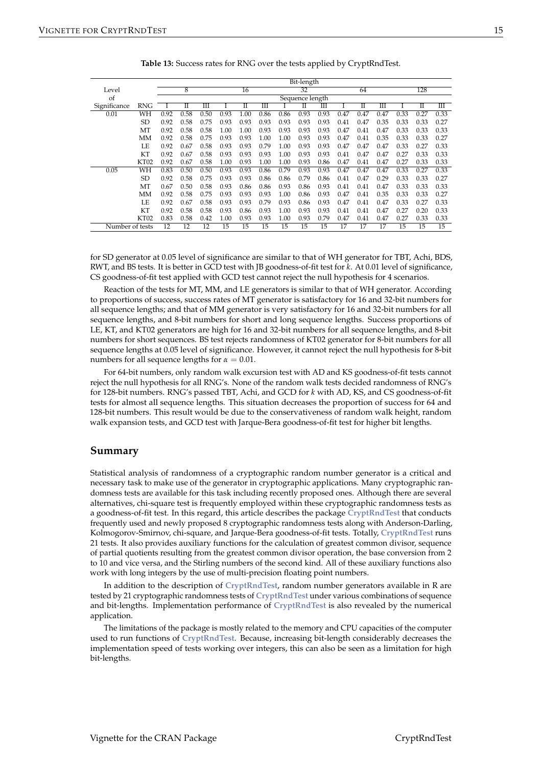<span id="page-14-0"></span>

|                 |           |      |      |                      |                 |      |      |      | Bit-length |      |      |      |      |      |                     |      |
|-----------------|-----------|------|------|----------------------|-----------------|------|------|------|------------|------|------|------|------|------|---------------------|------|
| Level           |           |      | 8    |                      |                 | 16   |      |      | 32         |      |      | 64   |      |      | 128                 |      |
| of              |           |      |      |                      | Sequence length |      |      |      |            |      |      |      |      |      |                     |      |
| Significance    | RNG       |      | П    | $\overline{\rm III}$ |                 | П    | Ш    |      | П          | Ш    |      | П    | Ш    |      | $\overline{\rm II}$ | Ш    |
| 0.01            | WH        | 0.92 | 0.58 | 0.50                 | 0.93            | 1.00 | 0.86 | 0.86 | 0.93       | 0.93 | 0.47 | 0.47 | 0.47 | 0.33 | 0.27                | 0.33 |
|                 | <b>SD</b> | 0.92 | 0.58 | 0.75                 | 0.93            | 0.93 | 0.93 | 0.93 | 0.93       | 0.93 | 0.41 | 0.47 | 0.35 | 0.33 | 0.33                | 0.27 |
|                 | MT        | 0.92 | 0.58 | 0.58                 | 1.00            | 1.00 | 0.93 | 0.93 | 0.93       | 0.93 | 0.47 | 0.41 | 0.47 | 0.33 | 0.33                | 0.33 |
|                 | МM        | 0.92 | 0.58 | 0.75                 | 0.93            | 0.93 | 1.00 | 1.00 | 0.93       | 0.93 | 0.47 | 0.41 | 0.35 | 0.33 | 0.33                | 0.27 |
|                 | LE        | 0.92 | 0.67 | 0.58                 | 0.93            | 0.93 | 0.79 | 1.00 | 0.93       | 0.93 | 0.47 | 0.47 | 0.47 | 0.33 | 0.27                | 0.33 |
|                 | KT        | 0.92 | 0.67 | 0.58                 | 0.93            | 0.93 | 0.93 | 1.00 | 0.93       | 0.93 | 0.41 | 0.47 | 0.47 | 0.27 | 0.33                | 0.33 |
|                 | KT02      | 0.92 | 0.67 | 0.58                 | 1.00            | 0.93 | 1.00 | 1.00 | 0.93       | 0.86 | 0.47 | 0.41 | 0.47 | 0.27 | 0.33                | 0.33 |
| 0.05            | WH        | 0.83 | 0.50 | 0.50                 | 0.93            | 0.93 | 0.86 | 0.79 | 0.93       | 0.93 | 0.47 | 0.47 | 0.47 | 0.33 | 0.27                | 0.33 |
|                 | <b>SD</b> | 0.92 | 0.58 | 0.75                 | 0.93            | 0.93 | 0.86 | 0.86 | 0.79       | 0.86 | 0.41 | 0.47 | 0.29 | 0.33 | 0.33                | 0.27 |
|                 | MT        | 0.67 | 0.50 | 0.58                 | 0.93            | 0.86 | 0.86 | 0.93 | 0.86       | 0.93 | 0.41 | 0.41 | 0.47 | 0.33 | 0.33                | 0.33 |
|                 | МM        | 0.92 | 0.58 | 0.75                 | 0.93            | 0.93 | 0.93 | 1.00 | 0.86       | 0.93 | 0.47 | 0.41 | 0.35 | 0.33 | 0.33                | 0.27 |
|                 | LE        | 0.92 | 0.67 | 0.58                 | 0.93            | 0.93 | 0.79 | 0.93 | 0.86       | 0.93 | 0.47 | 0.41 | 0.47 | 0.33 | 0.27                | 0.33 |
|                 | KT        | 0.92 | 0.58 | 0.58                 | 0.93            | 0.86 | 0.93 | 1.00 | 0.93       | 0.93 | 0.41 | 0.41 | 0.47 | 0.27 | 0.20                | 0.33 |
|                 | KT02      | 0.83 | 0.58 | 0.42                 | 1.00            | 0.93 | 0.93 | 1.00 | 0.93       | 0.79 | 0.47 | 0.41 | 0.47 | 0.27 | 0.33                | 0.33 |
| Number of tests |           | 12   | 12   | 12                   | 15              | 15   | 15   | 15   | 15         | 15   | 17   | 17   | 17   | 15   | 15                  | 15   |

**Table 13:** Success rates for RNG over the tests applied by CryptRndTest.

for SD generator at 0.05 level of significance are similar to that of WH generator for TBT, Achi, BDS, RWT, and BS tests. It is better in GCD test with JB goodness-of-fit test for *k*. At 0.01 level of significance, CS goodness-of-fit test applied with GCD test cannot reject the null hypothesis for 4 scenarios.

Reaction of the tests for MT, MM, and LE generators is similar to that of WH generator. According to proportions of success, success rates of MT generator is satisfactory for 16 and 32-bit numbers for all sequence lengths; and that of MM generator is very satisfactory for 16 and 32-bit numbers for all sequence lengths, and 8-bit numbers for short and long sequence lengths. Success proportions of LE, KT, and KT02 generators are high for 16 and 32-bit numbers for all sequence lengths, and 8-bit numbers for short sequences. BS test rejects randomness of KT02 generator for 8-bit numbers for all sequence lengths at 0.05 level of significance. However, it cannot reject the null hypothesis for 8-bit numbers for all sequence lengths for  $\alpha = 0.01$ .

For 64-bit numbers, only random walk excursion test with AD and KS goodness-of-fit tests cannot reject the null hypothesis for all RNG's. None of the random walk tests decided randomness of RNG's for 128-bit numbers. RNG's passed TBT, Achi, and GCD for *k* with AD, KS, and CS goodness-of-fit tests for almost all sequence lengths. This situation decreases the proportion of success for 64 and 128-bit numbers. This result would be due to the conservativeness of random walk height, random walk expansion tests, and GCD test with Jarque-Bera goodness-of-fit test for higher bit lengths.

## **Summary**

Statistical analysis of randomness of a cryptographic random number generator is a critical and necessary task to make use of the generator in cryptographic applications. Many cryptographic randomness tests are available for this task including recently proposed ones. Although there are several alternatives, chi-square test is frequently employed within these cryptographic randomness tests as a goodness-of-fit test. In this regard, this article describes the package **[CryptRndTest](http://CRAN.R-project.org/package=CryptRndTest)** that conducts frequently used and newly proposed 8 cryptographic randomness tests along with Anderson-Darling, Kolmogorov-Smirnov, chi-square, and Jarque-Bera goodness-of-fit tests. Totally, **[CryptRndTest](http://CRAN.R-project.org/package=CryptRndTest)** runs 21 tests. It also provides auxiliary functions for the calculation of greatest common divisor, sequence of partial quotients resulting from the greatest common divisor operation, the base conversion from 2 to 10 and vice versa, and the Stirling numbers of the second kind. All of these auxiliary functions also work with long integers by the use of multi-precision floating point numbers.

In addition to the description of **[CryptRndTest](http://CRAN.R-project.org/package=CryptRndTest)**, random number generators available in R are tested by 21 cryptographic randomness tests of **[CryptRndTest](http://CRAN.R-project.org/package=CryptRndTest)** under various combinations of sequence and bit-lengths. Implementation performance of **[CryptRndTest](http://CRAN.R-project.org/package=CryptRndTest)** is also revealed by the numerical application.

The limitations of the package is mostly related to the memory and CPU capacities of the computer used to run functions of **[CryptRndTest](http://CRAN.R-project.org/package=CryptRndTest)**. Because, increasing bit-length considerably decreases the implementation speed of tests working over integers, this can also be seen as a limitation for high bit-lengths.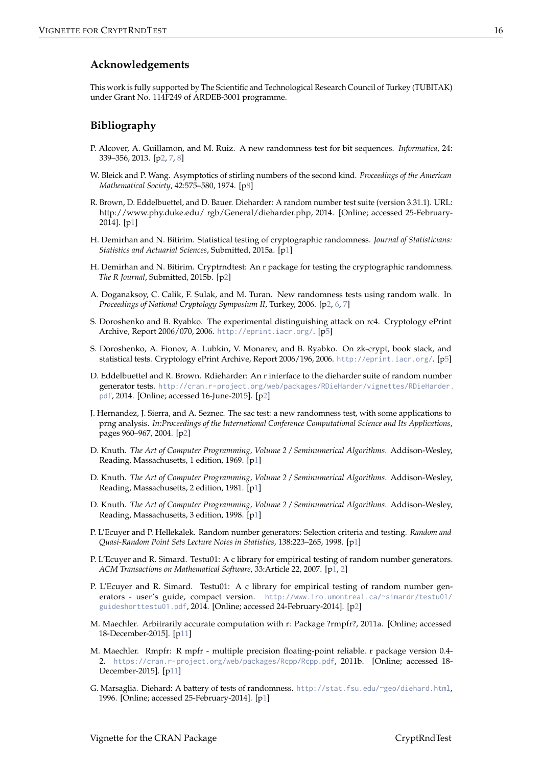## **Acknowledgements**

This work is fully supported by The Scientific and Technological Research Council of Turkey (TUBITAK) under Grant No. 114F249 of ARDEB-3001 programme.

# **Bibliography**

- <span id="page-15-12"></span>P. Alcover, A. Guillamon, and M. Ruiz. A new randomness test for bit sequences. *Informatica*, 24: 339–356, 2013. [[p2,](#page-1-0) [7,](#page-6-0) [8\]](#page-7-0)
- <span id="page-15-16"></span>W. Bleick and P. Wang. Asymptotics of stirling numbers of the second kind. *Proceedings of the American Mathematical Society*, 42:575–580, 1974. [[p8\]](#page-7-0)
- <span id="page-15-7"></span>R. Brown, D. Eddelbuettel, and D. Bauer. Dieharder: A random number test suite (version 3.31.1). URL: http://www.phy.duke.edu/ rgb/General/dieharder.php, 2014. [Online; accessed 25-February-2014]. [[p1\]](#page-0-0)
- <span id="page-15-2"></span>H. Demirhan and N. Bitirim. Statistical testing of cryptographic randomness. *Journal of Statisticians: Statistics and Actuarial Sciences*, Submitted, 2015a. [[p1\]](#page-0-0)
- <span id="page-15-13"></span>H. Demirhan and N. Bitirim. Cryptrndtest: An r package for testing the cryptographic randomness. *The R Journal*, Submitted, 2015b. [[p2\]](#page-1-0)
- <span id="page-15-11"></span>A. Doganaksoy, C. Calik, F. Sulak, and M. Turan. New randomness tests using random walk. In *Proceedings of National Cryptology Symposium II*, Turkey, 2006. [[p2,](#page-1-0) [6,](#page-5-0) [7\]](#page-6-0)
- <span id="page-15-14"></span>S. Doroshenko and B. Ryabko. The experimental distinguishing attack on rc4. Cryptology ePrint Archive, Report 2006/070, 2006. <http://eprint.iacr.org/>. [[p5\]](#page-4-0)
- <span id="page-15-15"></span>S. Doroshenko, A. Fionov, A. Lubkin, V. Monarev, and B. Ryabko. On zk-crypt, book stack, and statistical tests. Cryptology ePrint Archive, Report 2006/196, 2006. <http://eprint.iacr.org/>. [[p5\]](#page-4-0)
- <span id="page-15-8"></span>D. Eddelbuettel and R. Brown. Rdieharder: An r interface to the dieharder suite of random number generator tests. [http://cran.r-project.org/web/packages/RDieHarder/vignettes/RDieHarder.](http://cran.r-project.org/web/packages/RDieHarder/vignettes/RDieHarder.pdf) [pdf](http://cran.r-project.org/web/packages/RDieHarder/vignettes/RDieHarder.pdf), 2014. [Online; accessed 16-June-2015]. [[p2\]](#page-1-0)
- <span id="page-15-10"></span>J. Hernandez, J. Sierra, and A. Seznec. The sac test: a new randomness test, with some applications to prng analysis. *In:Proceedings of the International Conference Computational Science and Its Applications*, pages 960–967, 2004. [[p2\]](#page-1-0)
- <span id="page-15-5"></span>D. Knuth. *The Art of Computer Programming, Volume 2 / Seminumerical Algorithms*. Addison-Wesley, Reading, Massachusetts, 1 edition, 1969. [[p1\]](#page-0-0)
- <span id="page-15-4"></span>D. Knuth. *The Art of Computer Programming, Volume 2 / Seminumerical Algorithms*. Addison-Wesley, Reading, Massachusetts, 2 edition, 1981. [[p1\]](#page-0-0)
- <span id="page-15-3"></span>D. Knuth. *The Art of Computer Programming, Volume 2 / Seminumerical Algorithms*. Addison-Wesley, Reading, Massachusetts, 3 edition, 1998. [[p1\]](#page-0-0)
- <span id="page-15-0"></span>P. L'Ecuyer and P. Hellekalek. Random number generators: Selection criteria and testing. *Random and Quasi-Random Point Sets Lecture Notes in Statistics*, 138:223–265, 1998. [[p1\]](#page-0-0)
- <span id="page-15-1"></span>P. L'Ecuyer and R. Simard. Testu01: A c library for empirical testing of random number generators. *ACM Transactions on Mathematical Software*, 33:Article 22, 2007. [[p1,](#page-0-0) [2\]](#page-1-0)
- <span id="page-15-9"></span>P. L'Ecuyer and R. Simard. Testu01: A c library for empirical testing of random number generators - user's guide, compact version. [http://www.iro.umontreal.ca/~simardr/testu01/](http://www.iro.umontreal.ca/~simardr/testu01/guideshorttestu01.pdf) [guideshorttestu01.pdf](http://www.iro.umontreal.ca/~simardr/testu01/guideshorttestu01.pdf), 2014. [Online; accessed 24-February-2014]. [[p2\]](#page-1-0)
- <span id="page-15-17"></span>M. Maechler. Arbitrarily accurate computation with r: Package ?rmpfr?, 2011a. [Online; accessed 18-December-2015]. [[p11\]](#page-10-1)
- <span id="page-15-18"></span>M. Maechler. Rmpfr: R mpfr - multiple precision floating-point reliable. r package version 0.4- 2. <https://cran.r-project.org/web/packages/Rcpp/Rcpp.pdf>, 2011b. [Online; accessed 18- December-2015]. [[p11\]](#page-10-1)
- <span id="page-15-6"></span>G. Marsaglia. Diehard: A battery of tests of randomness. <http://stat.fsu.edu/~geo/diehard.html>, 1996. [Online; accessed 25-February-2014]. [[p1\]](#page-0-0)